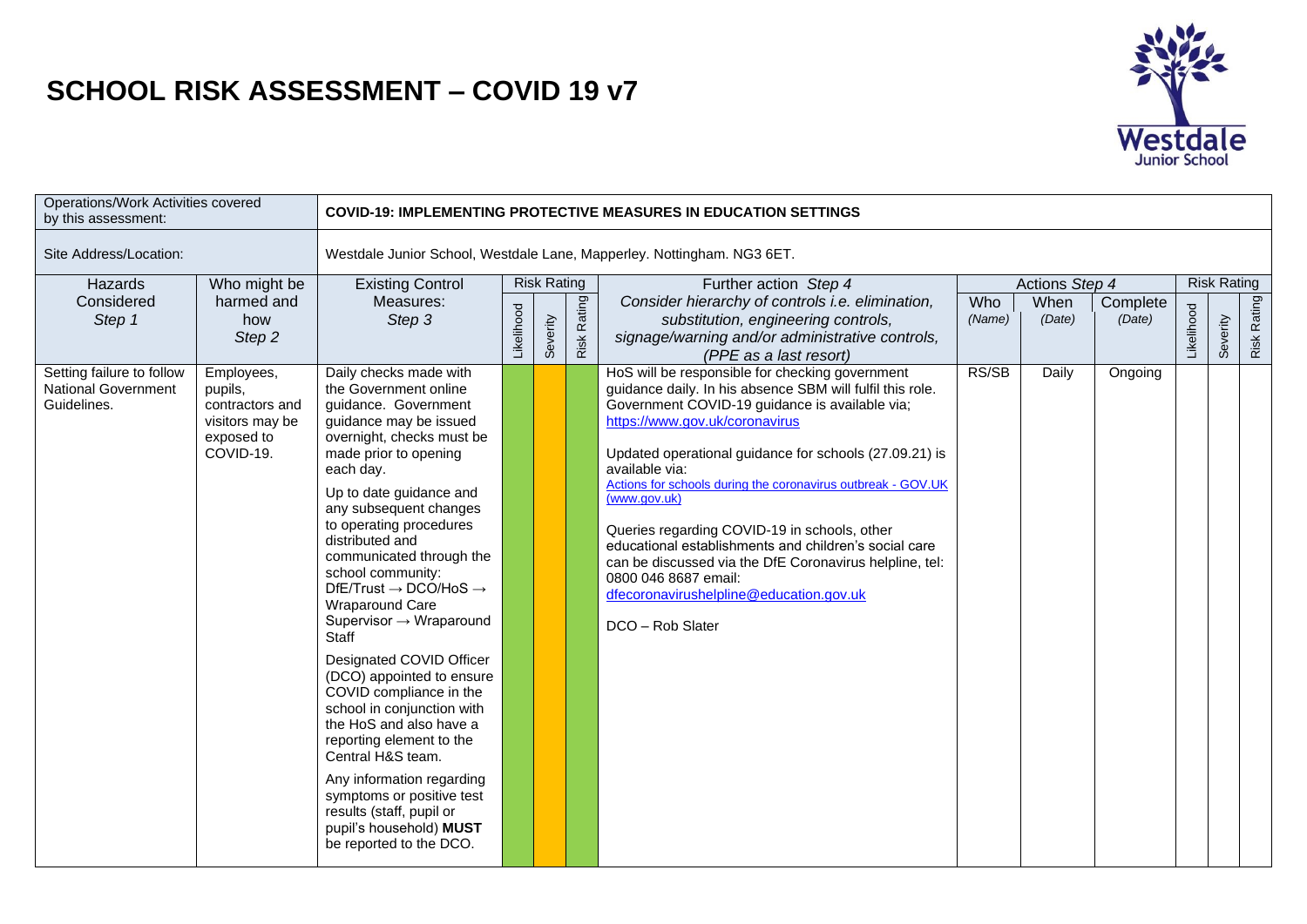## **SCHOOL RISK ASSESSMENT – COVID 19 v7**



| Operations/Work Activities covered<br>by this assessment:              |                                                                                        |                                                                                                                                                                                                                                                                                                                                                                                                                                                                                                                                                                                                                                                                                                                                                                                      |            |                    |             | <b>COVID-19: IMPLEMENTING PROTECTIVE MEASURES IN EDUCATION SETTINGS</b>                                                                                                                                                                                                                                                                                                                                                                                                                                                                                                                                                 |                      |                |                    |            |                    |             |
|------------------------------------------------------------------------|----------------------------------------------------------------------------------------|--------------------------------------------------------------------------------------------------------------------------------------------------------------------------------------------------------------------------------------------------------------------------------------------------------------------------------------------------------------------------------------------------------------------------------------------------------------------------------------------------------------------------------------------------------------------------------------------------------------------------------------------------------------------------------------------------------------------------------------------------------------------------------------|------------|--------------------|-------------|-------------------------------------------------------------------------------------------------------------------------------------------------------------------------------------------------------------------------------------------------------------------------------------------------------------------------------------------------------------------------------------------------------------------------------------------------------------------------------------------------------------------------------------------------------------------------------------------------------------------------|----------------------|----------------|--------------------|------------|--------------------|-------------|
| Site Address/Location:                                                 |                                                                                        |                                                                                                                                                                                                                                                                                                                                                                                                                                                                                                                                                                                                                                                                                                                                                                                      |            |                    |             | Westdale Junior School, Westdale Lane, Mapperley. Nottingham. NG3 6ET.                                                                                                                                                                                                                                                                                                                                                                                                                                                                                                                                                  |                      |                |                    |            |                    |             |
| Hazards                                                                | Who might be                                                                           | <b>Existing Control</b>                                                                                                                                                                                                                                                                                                                                                                                                                                                                                                                                                                                                                                                                                                                                                              |            | <b>Risk Rating</b> |             | Further action Step 4                                                                                                                                                                                                                                                                                                                                                                                                                                                                                                                                                                                                   |                      | Actions Step 4 |                    |            | <b>Risk Rating</b> |             |
| Considered<br>Step 1                                                   | harmed and<br>how<br>Step 2                                                            | Measures:<br>Step 3                                                                                                                                                                                                                                                                                                                                                                                                                                                                                                                                                                                                                                                                                                                                                                  | Likelihood | Severity           | Risk Rating | Consider hierarchy of controls i.e. elimination,<br>substitution, engineering controls,<br>signage/warning and/or administrative controls,<br>(PPE as a last resort)                                                                                                                                                                                                                                                                                                                                                                                                                                                    | <b>Who</b><br>(Name) | When<br>(Date) | Complete<br>(Date) | Likelihood | Severity           | Risk Rating |
| Setting failure to follow<br><b>National Government</b><br>Guidelines. | Employees,<br>pupils,<br>contractors and<br>visitors may be<br>exposed to<br>COVID-19. | Daily checks made with<br>the Government online<br>guidance. Government<br>guidance may be issued<br>overnight, checks must be<br>made prior to opening<br>each day.<br>Up to date guidance and<br>any subsequent changes<br>to operating procedures<br>distributed and<br>communicated through the<br>school community:<br>$DfE/Trust \rightarrow DCO/HoS \rightarrow$<br>Wraparound Care<br>Supervisor $\rightarrow$ Wraparound<br>Staff<br>Designated COVID Officer<br>(DCO) appointed to ensure<br>COVID compliance in the<br>school in conjunction with<br>the HoS and also have a<br>reporting element to the<br>Central H&S team.<br>Any information regarding<br>symptoms or positive test<br>results (staff, pupil or<br>pupil's household) MUST<br>be reported to the DCO. |            |                    |             | HoS will be responsible for checking government<br>guidance daily. In his absence SBM will fulfil this role.<br>Government COVID-19 guidance is available via;<br>https://www.gov.uk/coronavirus<br>Updated operational guidance for schools (27.09.21) is<br>available via:<br>Actions for schools during the coronavirus outbreak - GOV.UK<br>(www.gov.uk)<br>Queries regarding COVID-19 in schools, other<br>educational establishments and children's social care<br>can be discussed via the DfE Coronavirus helpline, tel:<br>0800 046 8687 email:<br>dfecoronavirushelpline@education.gov.uk<br>DCO - Rob Slater | RS/SB                | Daily          | Ongoing            |            |                    |             |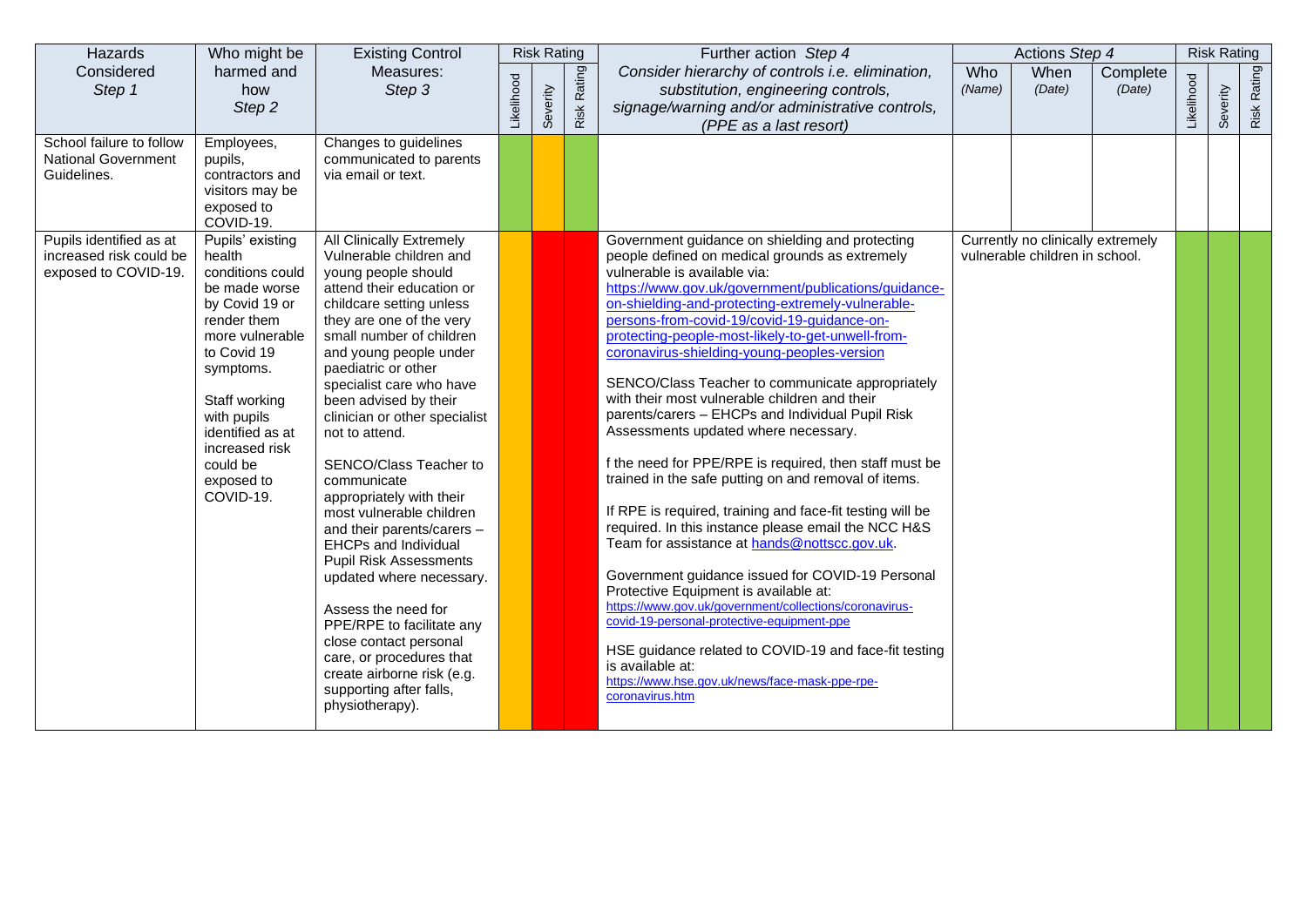| Hazards                                                                    | Who might be                                                                                                                                                                                                                                                 | <b>Existing Control</b>                                                                                                                                                                                                                                                                                                                                                                                                                                                                                                                                                                                                                                                                                                                                        |            | <b>Risk Rating</b> |                  | Further action Step 4                                                                                                                                                                                                                                                                                                                                                                                                                                                                                                                                                                                                                                                                                                                                                                                                                                                                                                                                                                                                                                                                                                                                                                                                                           |               | Actions Step 4                                                      |                    |            | <b>Risk Rating</b> |             |
|----------------------------------------------------------------------------|--------------------------------------------------------------------------------------------------------------------------------------------------------------------------------------------------------------------------------------------------------------|----------------------------------------------------------------------------------------------------------------------------------------------------------------------------------------------------------------------------------------------------------------------------------------------------------------------------------------------------------------------------------------------------------------------------------------------------------------------------------------------------------------------------------------------------------------------------------------------------------------------------------------------------------------------------------------------------------------------------------------------------------------|------------|--------------------|------------------|-------------------------------------------------------------------------------------------------------------------------------------------------------------------------------------------------------------------------------------------------------------------------------------------------------------------------------------------------------------------------------------------------------------------------------------------------------------------------------------------------------------------------------------------------------------------------------------------------------------------------------------------------------------------------------------------------------------------------------------------------------------------------------------------------------------------------------------------------------------------------------------------------------------------------------------------------------------------------------------------------------------------------------------------------------------------------------------------------------------------------------------------------------------------------------------------------------------------------------------------------|---------------|---------------------------------------------------------------------|--------------------|------------|--------------------|-------------|
| Considered<br>Step 1                                                       | harmed and<br>how<br>Step 2                                                                                                                                                                                                                                  | Measures:<br>Step 3                                                                                                                                                                                                                                                                                                                                                                                                                                                                                                                                                                                                                                                                                                                                            | Likelihood | Severity           | Rating<br>Risk I | Consider hierarchy of controls i.e. elimination,<br>substitution, engineering controls,<br>signage/warning and/or administrative controls,<br>(PPE as a last resort)                                                                                                                                                                                                                                                                                                                                                                                                                                                                                                                                                                                                                                                                                                                                                                                                                                                                                                                                                                                                                                                                            | Who<br>(Name) | When<br>(Date)                                                      | Complete<br>(Date) | Likelihood | Severity           | Risk Rating |
| School failure to follow<br><b>National Government</b><br>Guidelines.      | Employees,<br>pupils,<br>contractors and<br>visitors may be<br>exposed to<br>COVID-19.                                                                                                                                                                       | Changes to guidelines<br>communicated to parents<br>via email or text.                                                                                                                                                                                                                                                                                                                                                                                                                                                                                                                                                                                                                                                                                         |            |                    |                  |                                                                                                                                                                                                                                                                                                                                                                                                                                                                                                                                                                                                                                                                                                                                                                                                                                                                                                                                                                                                                                                                                                                                                                                                                                                 |               |                                                                     |                    |            |                    |             |
| Pupils identified as at<br>increased risk could be<br>exposed to COVID-19. | Pupils' existing<br>health<br>conditions could<br>be made worse<br>by Covid 19 or<br>render them<br>more vulnerable<br>to Covid 19<br>symptoms.<br>Staff working<br>with pupils<br>identified as at<br>increased risk<br>could be<br>exposed to<br>COVID-19. | All Clinically Extremely<br>Vulnerable children and<br>young people should<br>attend their education or<br>childcare setting unless<br>they are one of the very<br>small number of children<br>and young people under<br>paediatric or other<br>specialist care who have<br>been advised by their<br>clinician or other specialist<br>not to attend.<br>SENCO/Class Teacher to<br>communicate<br>appropriately with their<br>most vulnerable children<br>and their parents/carers -<br>EHCPs and Individual<br><b>Pupil Risk Assessments</b><br>updated where necessary.<br>Assess the need for<br>PPE/RPE to facilitate any<br>close contact personal<br>care, or procedures that<br>create airborne risk (e.g.<br>supporting after falls,<br>physiotherapy). |            |                    |                  | Government guidance on shielding and protecting<br>people defined on medical grounds as extremely<br>vulnerable is available via:<br>https://www.gov.uk/government/publications/guidance-<br>on-shielding-and-protecting-extremely-vulnerable-<br>persons-from-covid-19/covid-19-guidance-on-<br>protecting-people-most-likely-to-get-unwell-from-<br>coronavirus-shielding-young-peoples-version<br>SENCO/Class Teacher to communicate appropriately<br>with their most vulnerable children and their<br>parents/carers - EHCPs and Individual Pupil Risk<br>Assessments updated where necessary.<br>f the need for PPE/RPE is required, then staff must be<br>trained in the safe putting on and removal of items.<br>If RPE is required, training and face-fit testing will be<br>required. In this instance please email the NCC H&S<br>Team for assistance at hands@nottscc.gov.uk.<br>Government guidance issued for COVID-19 Personal<br>Protective Equipment is available at:<br>https://www.gov.uk/government/collections/coronavirus-<br>covid-19-personal-protective-equipment-ppe<br>HSE guidance related to COVID-19 and face-fit testing<br>is available at:<br>https://www.hse.gov.uk/news/face-mask-ppe-rpe-<br>coronavirus.htm |               | Currently no clinically extremely<br>vulnerable children in school. |                    |            |                    |             |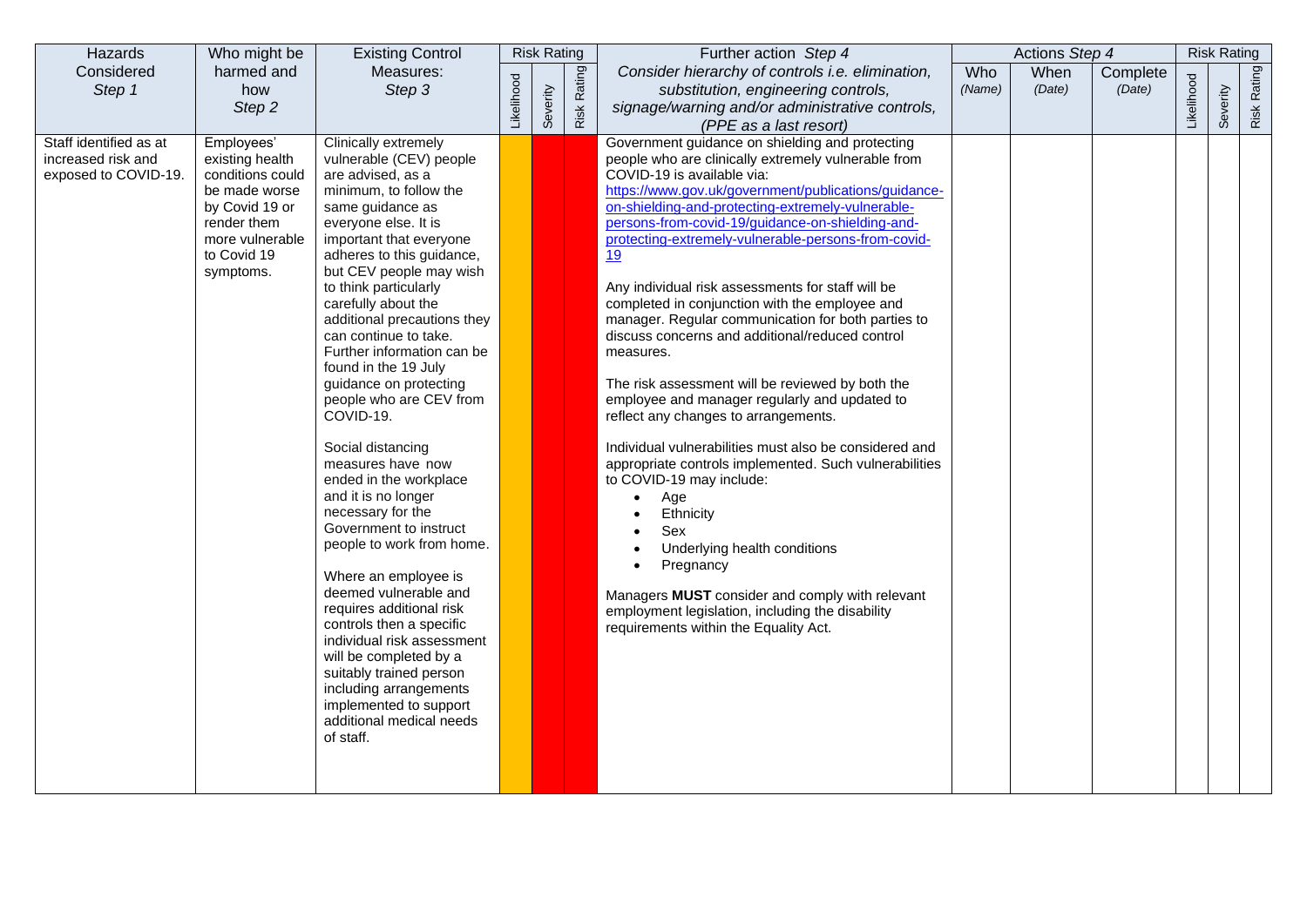| Hazards                                                                        | Who might be                                                                                                                                                 | <b>Existing Control</b>                                                                                                                                                                                                                                                                                                                                                                                                                                                                                                                                                                                                                                                                                                                                                                                                                 |            | <b>Risk Rating</b> |        | Further action Step 4                                                                                                                                                                                                                                                                                                                                                                                                                                                                                                                                                                                                                                                                                                                                                                                                                                                                                                                                                                                                                                                                                                                                                                                          |        | Actions Step 4 |                    |            | <b>Risk Rating</b> |             |
|--------------------------------------------------------------------------------|--------------------------------------------------------------------------------------------------------------------------------------------------------------|-----------------------------------------------------------------------------------------------------------------------------------------------------------------------------------------------------------------------------------------------------------------------------------------------------------------------------------------------------------------------------------------------------------------------------------------------------------------------------------------------------------------------------------------------------------------------------------------------------------------------------------------------------------------------------------------------------------------------------------------------------------------------------------------------------------------------------------------|------------|--------------------|--------|----------------------------------------------------------------------------------------------------------------------------------------------------------------------------------------------------------------------------------------------------------------------------------------------------------------------------------------------------------------------------------------------------------------------------------------------------------------------------------------------------------------------------------------------------------------------------------------------------------------------------------------------------------------------------------------------------------------------------------------------------------------------------------------------------------------------------------------------------------------------------------------------------------------------------------------------------------------------------------------------------------------------------------------------------------------------------------------------------------------------------------------------------------------------------------------------------------------|--------|----------------|--------------------|------------|--------------------|-------------|
| Considered                                                                     | harmed and<br>how                                                                                                                                            | Measures:<br>Step 3                                                                                                                                                                                                                                                                                                                                                                                                                                                                                                                                                                                                                                                                                                                                                                                                                     |            |                    | Rating | Consider hierarchy of controls i.e. elimination,                                                                                                                                                                                                                                                                                                                                                                                                                                                                                                                                                                                                                                                                                                                                                                                                                                                                                                                                                                                                                                                                                                                                                               | Who    | When<br>(Date) | Complete<br>(Date) |            |                    |             |
|                                                                                |                                                                                                                                                              |                                                                                                                                                                                                                                                                                                                                                                                                                                                                                                                                                                                                                                                                                                                                                                                                                                         |            |                    |        |                                                                                                                                                                                                                                                                                                                                                                                                                                                                                                                                                                                                                                                                                                                                                                                                                                                                                                                                                                                                                                                                                                                                                                                                                |        |                |                    |            |                    |             |
|                                                                                |                                                                                                                                                              |                                                                                                                                                                                                                                                                                                                                                                                                                                                                                                                                                                                                                                                                                                                                                                                                                                         |            |                    |        | (PPE as a last resort)                                                                                                                                                                                                                                                                                                                                                                                                                                                                                                                                                                                                                                                                                                                                                                                                                                                                                                                                                                                                                                                                                                                                                                                         |        |                |                    |            |                    |             |
| Step 1<br>Staff identified as at<br>increased risk and<br>exposed to COVID-19. | Step 2<br>Employees'<br>existing health<br>conditions could<br>be made worse<br>by Covid 19 or<br>render them<br>more vulnerable<br>to Covid 19<br>symptoms. | <b>Clinically extremely</b><br>vulnerable (CEV) people<br>are advised, as a<br>minimum, to follow the<br>same guidance as<br>everyone else. It is<br>important that everyone<br>adheres to this guidance,<br>but CEV people may wish<br>to think particularly<br>carefully about the<br>additional precautions they<br>can continue to take.<br>Further information can be<br>found in the 19 July<br>guidance on protecting<br>people who are CEV from<br>COVID-19.<br>Social distancing<br>measures have now<br>ended in the workplace<br>and it is no longer<br>necessary for the<br>Government to instruct<br>people to work from home.<br>Where an employee is<br>deemed vulnerable and<br>requires additional risk<br>controls then a specific<br>individual risk assessment<br>will be completed by a<br>suitably trained person | Likelihood | Severity           | Risk   | substitution, engineering controls,<br>signage/warning and/or administrative controls,<br>Government guidance on shielding and protecting<br>people who are clinically extremely vulnerable from<br>COVID-19 is available via:<br>https://www.gov.uk/government/publications/guidance-<br>on-shielding-and-protecting-extremely-vulnerable-<br>persons-from-covid-19/guidance-on-shielding-and-<br>protecting-extremely-vulnerable-persons-from-covid-<br>19<br>Any individual risk assessments for staff will be<br>completed in conjunction with the employee and<br>manager. Regular communication for both parties to<br>discuss concerns and additional/reduced control<br>measures.<br>The risk assessment will be reviewed by both the<br>employee and manager regularly and updated to<br>reflect any changes to arrangements.<br>Individual vulnerabilities must also be considered and<br>appropriate controls implemented. Such vulnerabilities<br>to COVID-19 may include:<br>Age<br>Ethnicity<br>Sex<br>Underlying health conditions<br>Pregnancy<br>Managers MUST consider and comply with relevant<br>employment legislation, including the disability<br>requirements within the Equality Act. | (Name) |                |                    | Likelihood | Severity           | Risk Rating |
|                                                                                |                                                                                                                                                              | including arrangements<br>implemented to support<br>additional medical needs<br>of staff.                                                                                                                                                                                                                                                                                                                                                                                                                                                                                                                                                                                                                                                                                                                                               |            |                    |        |                                                                                                                                                                                                                                                                                                                                                                                                                                                                                                                                                                                                                                                                                                                                                                                                                                                                                                                                                                                                                                                                                                                                                                                                                |        |                |                    |            |                    |             |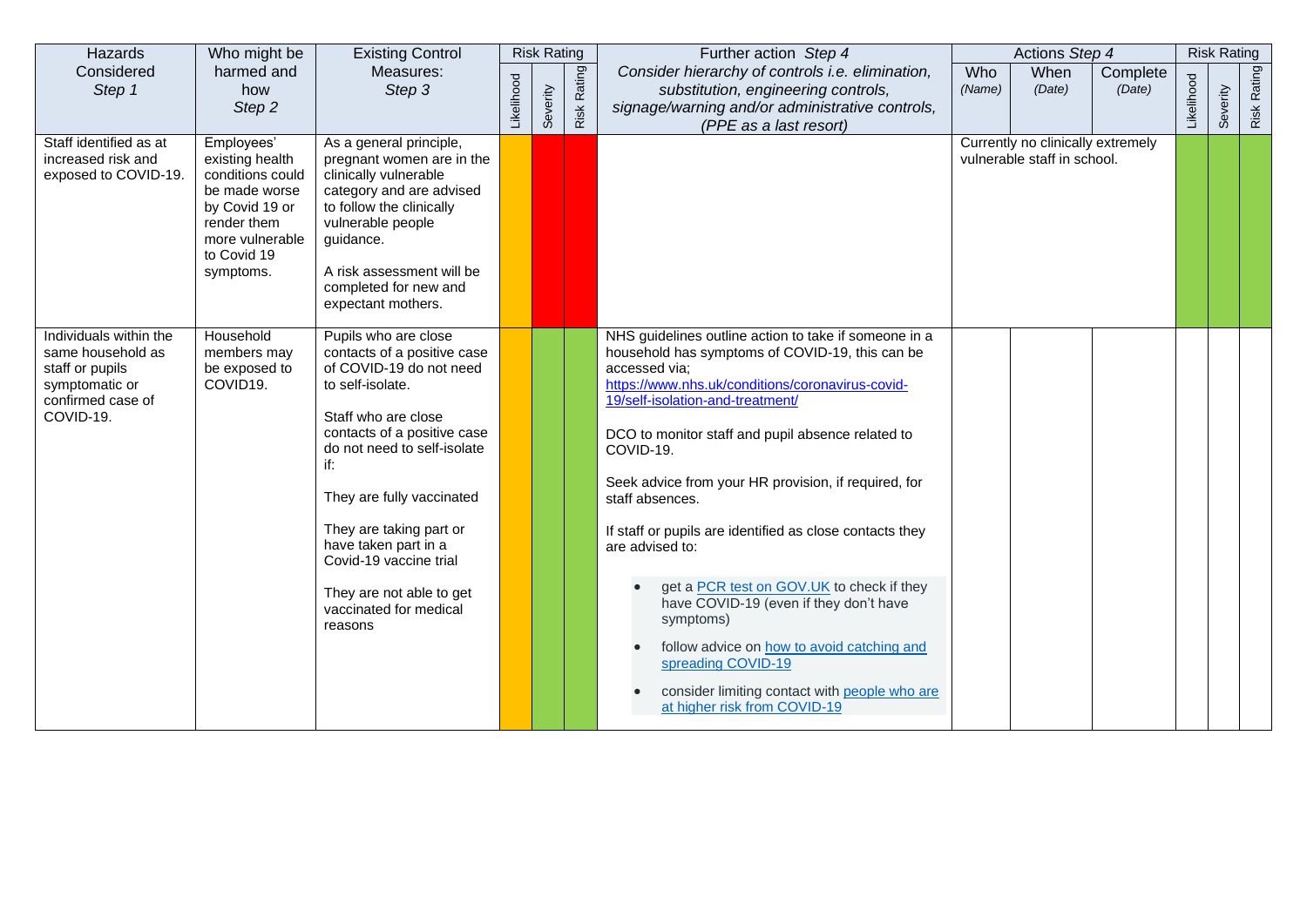| Hazards                                                                                                            | Who might be                                                                                                                                       | <b>Existing Control</b>                                                                                                                                                                                                                                                                                                                                                   |            | <b>Risk Rating</b> |                | Further action Step 4                                                                                                                                                                                                                                                                                                                                                                                                                                                                                                                                                                                                                                                                                  |               | Actions Step 4                                                   |                    |            | <b>Risk Rating</b> |             |
|--------------------------------------------------------------------------------------------------------------------|----------------------------------------------------------------------------------------------------------------------------------------------------|---------------------------------------------------------------------------------------------------------------------------------------------------------------------------------------------------------------------------------------------------------------------------------------------------------------------------------------------------------------------------|------------|--------------------|----------------|--------------------------------------------------------------------------------------------------------------------------------------------------------------------------------------------------------------------------------------------------------------------------------------------------------------------------------------------------------------------------------------------------------------------------------------------------------------------------------------------------------------------------------------------------------------------------------------------------------------------------------------------------------------------------------------------------------|---------------|------------------------------------------------------------------|--------------------|------------|--------------------|-------------|
| Considered<br>Step 1                                                                                               | harmed and<br>how<br>Step 2                                                                                                                        | Measures:<br>Step 3                                                                                                                                                                                                                                                                                                                                                       | Likelihood | Severity           | Rating<br>Risk | Consider hierarchy of controls i.e. elimination,<br>substitution, engineering controls,<br>signage/warning and/or administrative controls,<br>(PPE as a last resort)                                                                                                                                                                                                                                                                                                                                                                                                                                                                                                                                   | Who<br>(Name) | When<br>(Date)                                                   | Complete<br>(Date) | Likelihood | everity<br>Ŏ.      | Risk Rating |
| Staff identified as at<br>increased risk and<br>exposed to COVID-19.                                               | Employees'<br>existing health<br>conditions could<br>be made worse<br>by Covid 19 or<br>render them<br>more vulnerable<br>to Covid 19<br>symptoms. | As a general principle,<br>pregnant women are in the<br>clinically vulnerable<br>category and are advised<br>to follow the clinically<br>vulnerable people<br>guidance.<br>A risk assessment will be<br>completed for new and<br>expectant mothers.                                                                                                                       |            |                    |                |                                                                                                                                                                                                                                                                                                                                                                                                                                                                                                                                                                                                                                                                                                        |               | Currently no clinically extremely<br>vulnerable staff in school. |                    |            |                    |             |
| Individuals within the<br>same household as<br>staff or pupils<br>symptomatic or<br>confirmed case of<br>COVID-19. | Household<br>members may<br>be exposed to<br>COVID19.                                                                                              | Pupils who are close<br>contacts of a positive case<br>of COVID-19 do not need<br>to self-isolate.<br>Staff who are close<br>contacts of a positive case<br>do not need to self-isolate<br>if:<br>They are fully vaccinated<br>They are taking part or<br>have taken part in a<br>Covid-19 vaccine trial<br>They are not able to get<br>vaccinated for medical<br>reasons |            |                    |                | NHS guidelines outline action to take if someone in a<br>household has symptoms of COVID-19, this can be<br>accessed via;<br>https://www.nhs.uk/conditions/coronavirus-covid-<br>19/self-isolation-and-treatment/<br>DCO to monitor staff and pupil absence related to<br>COVID-19.<br>Seek advice from your HR provision, if required, for<br>staff absences.<br>If staff or pupils are identified as close contacts they<br>are advised to:<br>get a PCR test on GOV.UK to check if they<br>have COVID-19 (even if they don't have<br>symptoms)<br>follow advice on how to avoid catching and<br>spreading COVID-19<br>consider limiting contact with people who are<br>at higher risk from COVID-19 |               |                                                                  |                    |            |                    |             |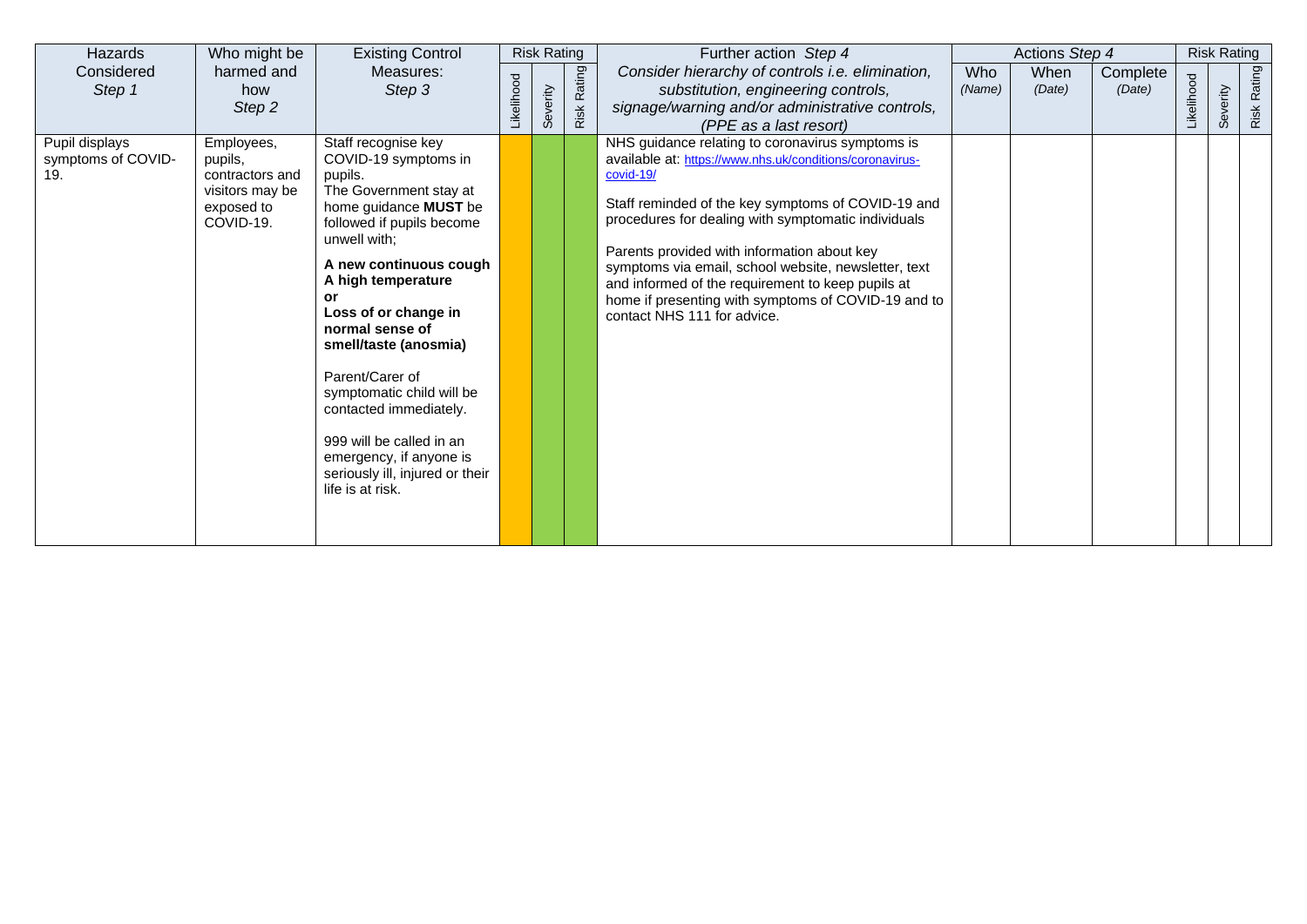| Hazards                                     | Who might be                                                                           | <b>Existing Control</b>                                                                                                                                                                                                                                                                                                                                                                                                                                                  |            | <b>Risk Rating</b> |                | Further action Step 4                                                                                                                                                                                                                                                                                                                                                                                                                                                                    | Actions Step 4 |                    |                  | <b>Risk Rating</b> |                |
|---------------------------------------------|----------------------------------------------------------------------------------------|--------------------------------------------------------------------------------------------------------------------------------------------------------------------------------------------------------------------------------------------------------------------------------------------------------------------------------------------------------------------------------------------------------------------------------------------------------------------------|------------|--------------------|----------------|------------------------------------------------------------------------------------------------------------------------------------------------------------------------------------------------------------------------------------------------------------------------------------------------------------------------------------------------------------------------------------------------------------------------------------------------------------------------------------------|----------------|--------------------|------------------|--------------------|----------------|
| Considered<br>Step 1                        | harmed and<br>how<br>Step 2                                                            | Measures:<br>Step 3                                                                                                                                                                                                                                                                                                                                                                                                                                                      | Likelihood | Severity           | Rating<br>Risk | Consider hierarchy of controls i.e. elimination,<br>Who<br>substitution, engineering controls,<br>(Name)<br>signage/warning and/or administrative controls,<br>(PPE as a last resort)                                                                                                                                                                                                                                                                                                    | When<br>(Date) | Complete<br>(Date) | <b>ikelihood</b> | everity<br>σō      | Rating<br>Risk |
| Pupil displays<br>symptoms of COVID-<br>19. | Employees,<br>pupils,<br>contractors and<br>visitors may be<br>exposed to<br>COVID-19. | Staff recognise key<br>COVID-19 symptoms in<br>pupils.<br>The Government stay at<br>home guidance MUST be<br>followed if pupils become<br>unwell with;<br>A new continuous cough<br>A high temperature<br>or<br>Loss of or change in<br>normal sense of<br>smell/taste (anosmia)<br>Parent/Carer of<br>symptomatic child will be<br>contacted immediately.<br>999 will be called in an<br>emergency, if anyone is<br>seriously ill, injured or their<br>life is at risk. |            |                    |                | NHS guidance relating to coronavirus symptoms is<br>available at: https://www.nhs.uk/conditions/coronavirus-<br>covid-19/<br>Staff reminded of the key symptoms of COVID-19 and<br>procedures for dealing with symptomatic individuals<br>Parents provided with information about key<br>symptoms via email, school website, newsletter, text<br>and informed of the requirement to keep pupils at<br>home if presenting with symptoms of COVID-19 and to<br>contact NHS 111 for advice. |                |                    |                  |                    |                |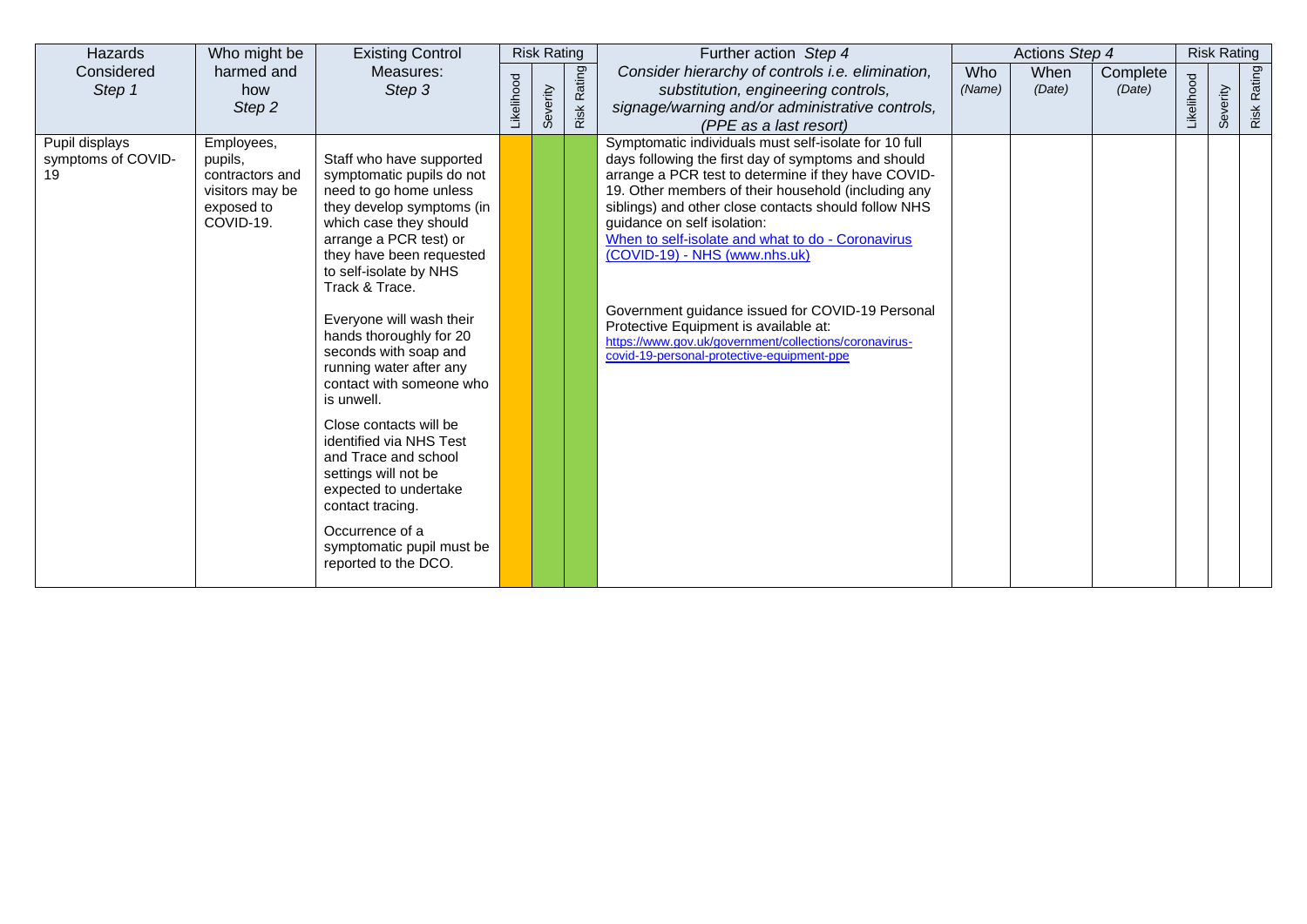| Hazards                                    | Who might be                                                                           | <b>Existing Control</b>                                                                                                                                                                                                                                                                                                                                                                                                                                                                                                                                                                                                 |            | <b>Risk Rating</b> |                | Further action Step 4                                                                                                                                                                                                                                                                                                                                                                                                                                                                                                                                                                                        |               | Actions Step 4 |                    |            | <b>Risk Rating</b> |             |
|--------------------------------------------|----------------------------------------------------------------------------------------|-------------------------------------------------------------------------------------------------------------------------------------------------------------------------------------------------------------------------------------------------------------------------------------------------------------------------------------------------------------------------------------------------------------------------------------------------------------------------------------------------------------------------------------------------------------------------------------------------------------------------|------------|--------------------|----------------|--------------------------------------------------------------------------------------------------------------------------------------------------------------------------------------------------------------------------------------------------------------------------------------------------------------------------------------------------------------------------------------------------------------------------------------------------------------------------------------------------------------------------------------------------------------------------------------------------------------|---------------|----------------|--------------------|------------|--------------------|-------------|
| Considered<br>Step 1                       | harmed and<br>how<br>Step 2                                                            | Measures:<br>Step 3                                                                                                                                                                                                                                                                                                                                                                                                                                                                                                                                                                                                     | Likelihood | Severity           | Rating<br>Risk | Consider hierarchy of controls i.e. elimination,<br>substitution, engineering controls,<br>signage/warning and/or administrative controls,<br>(PPE as a last resort)                                                                                                                                                                                                                                                                                                                                                                                                                                         | Who<br>(Name) | When<br>(Date) | Complete<br>(Date) | _ikelihood | everity<br>Ŏ.      | Risk Rating |
| Pupil displays<br>symptoms of COVID-<br>19 | Employees,<br>pupils,<br>contractors and<br>visitors may be<br>exposed to<br>COVID-19. | Staff who have supported<br>symptomatic pupils do not<br>need to go home unless<br>they develop symptoms (in<br>which case they should<br>arrange a PCR test) or<br>they have been requested<br>to self-isolate by NHS<br>Track & Trace.<br>Everyone will wash their<br>hands thoroughly for 20<br>seconds with soap and<br>running water after any<br>contact with someone who<br>is unwell.<br>Close contacts will be<br>identified via NHS Test<br>and Trace and school<br>settings will not be<br>expected to undertake<br>contact tracing.<br>Occurrence of a<br>symptomatic pupil must be<br>reported to the DCO. |            |                    |                | Symptomatic individuals must self-isolate for 10 full<br>days following the first day of symptoms and should<br>arrange a PCR test to determine if they have COVID-<br>19. Other members of their household (including any<br>siblings) and other close contacts should follow NHS<br>guidance on self isolation:<br>When to self-isolate and what to do - Coronavirus<br>(COVID-19) - NHS (www.nhs.uk)<br>Government guidance issued for COVID-19 Personal<br>Protective Equipment is available at:<br>https://www.gov.uk/government/collections/coronavirus-<br>covid-19-personal-protective-equipment-ppe |               |                |                    |            |                    |             |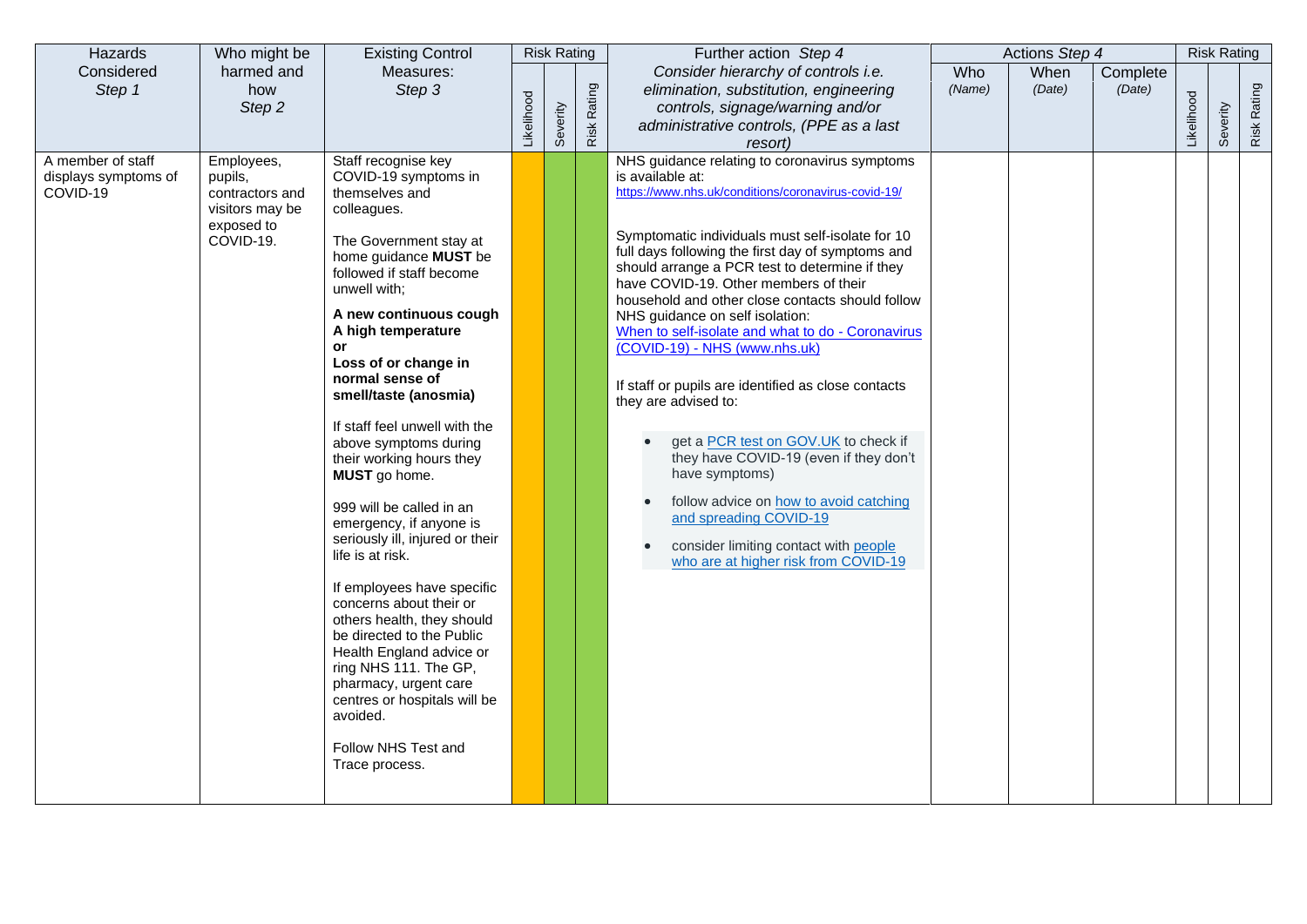| Hazards                                               | Who might be                                                                           | <b>Existing Control</b>                                                                                                                                                                                                                                                                                                                                                                                                                                                                                                                                                                                                                                                                                                                                                                                           |            | <b>Risk Rating</b> |             | Further action Step 4                                                                                                                                                                                                                                                                                                                                                                                                                                                                                                                                                                                                                                                                                                                                                                                                                             |               | Actions Step 4 |                    |            | <b>Risk Rating</b> |             |
|-------------------------------------------------------|----------------------------------------------------------------------------------------|-------------------------------------------------------------------------------------------------------------------------------------------------------------------------------------------------------------------------------------------------------------------------------------------------------------------------------------------------------------------------------------------------------------------------------------------------------------------------------------------------------------------------------------------------------------------------------------------------------------------------------------------------------------------------------------------------------------------------------------------------------------------------------------------------------------------|------------|--------------------|-------------|---------------------------------------------------------------------------------------------------------------------------------------------------------------------------------------------------------------------------------------------------------------------------------------------------------------------------------------------------------------------------------------------------------------------------------------------------------------------------------------------------------------------------------------------------------------------------------------------------------------------------------------------------------------------------------------------------------------------------------------------------------------------------------------------------------------------------------------------------|---------------|----------------|--------------------|------------|--------------------|-------------|
| Considered<br>Step 1                                  | harmed and<br>how<br>Step 2                                                            | Measures:<br>Step 3                                                                                                                                                                                                                                                                                                                                                                                                                                                                                                                                                                                                                                                                                                                                                                                               | Likelihood | Severity           | Risk Rating | Consider hierarchy of controls i.e.<br>elimination, substitution, engineering<br>controls, signage/warning and/or<br>administrative controls, (PPE as a last<br>resort)                                                                                                                                                                                                                                                                                                                                                                                                                                                                                                                                                                                                                                                                           | Who<br>(Name) | When<br>(Date) | Complete<br>(Date) | Likelihood | Severity           | Risk Rating |
| A member of staff<br>displays symptoms of<br>COVID-19 | Employees,<br>pupils,<br>contractors and<br>visitors may be<br>exposed to<br>COVID-19. | Staff recognise key<br>COVID-19 symptoms in<br>themselves and<br>colleagues.<br>The Government stay at<br>home guidance MUST be<br>followed if staff become<br>unwell with;<br>A new continuous cough<br>A high temperature<br>or<br>Loss of or change in<br>normal sense of<br>smell/taste (anosmia)<br>If staff feel unwell with the<br>above symptoms during<br>their working hours they<br>MUST go home.<br>999 will be called in an<br>emergency, if anyone is<br>seriously ill, injured or their<br>life is at risk.<br>If employees have specific<br>concerns about their or<br>others health, they should<br>be directed to the Public<br>Health England advice or<br>ring NHS 111. The GP,<br>pharmacy, urgent care<br>centres or hospitals will be<br>avoided.<br>Follow NHS Test and<br>Trace process. |            |                    |             | NHS guidance relating to coronavirus symptoms<br>is available at:<br>https://www.nhs.uk/conditions/coronavirus-covid-19/<br>Symptomatic individuals must self-isolate for 10<br>full days following the first day of symptoms and<br>should arrange a PCR test to determine if they<br>have COVID-19. Other members of their<br>household and other close contacts should follow<br>NHS guidance on self isolation:<br>When to self-isolate and what to do - Coronavirus<br>(COVID-19) - NHS (www.nhs.uk)<br>If staff or pupils are identified as close contacts<br>they are advised to:<br>get a PCR test on GOV.UK to check if<br>they have COVID-19 (even if they don't<br>have symptoms)<br>follow advice on how to avoid catching<br>and spreading COVID-19<br>consider limiting contact with people<br>who are at higher risk from COVID-19 |               |                |                    |            |                    |             |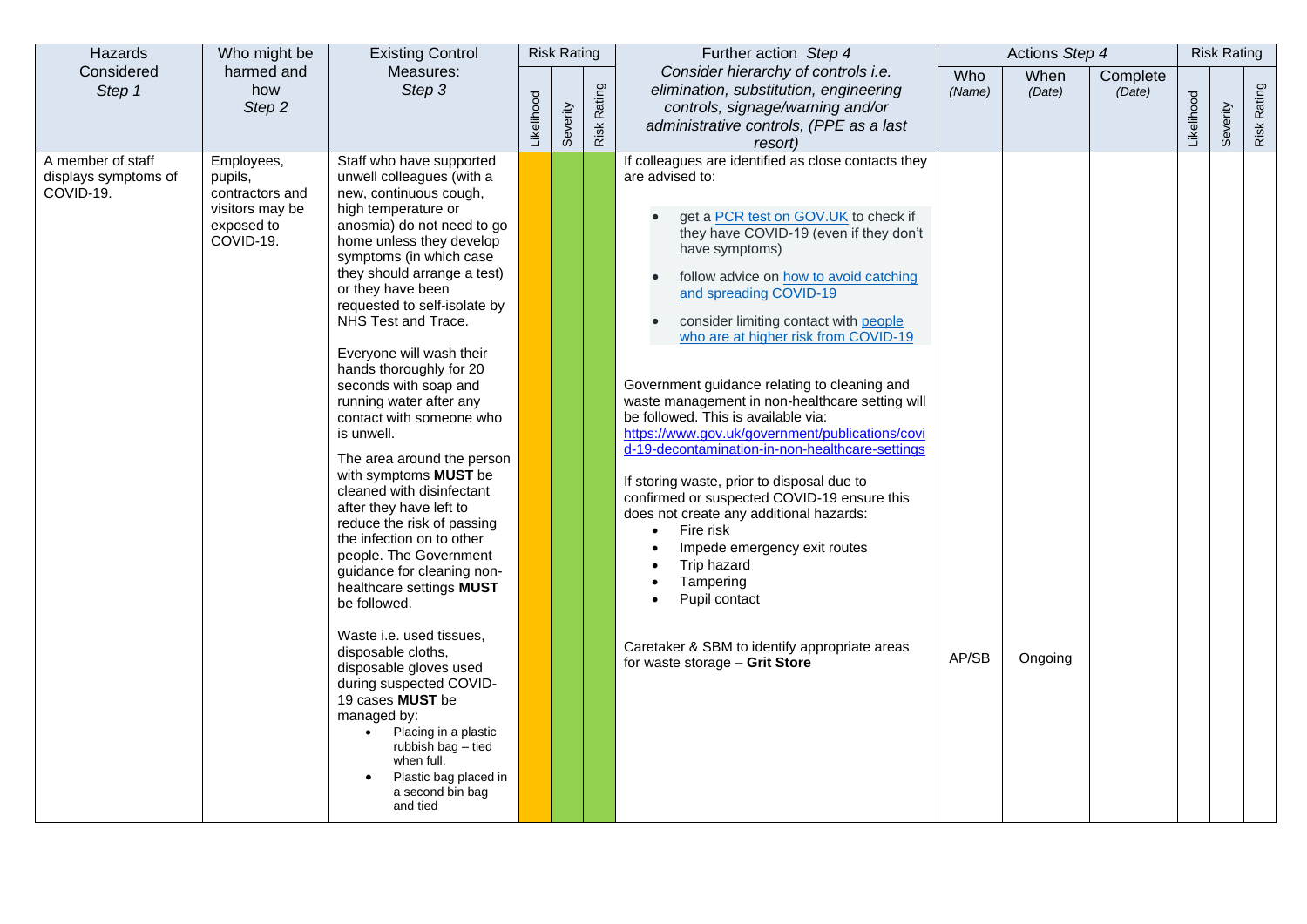| Hazards                                                | Who might be                                                                           | <b>Existing Control</b>                                                                                                                                                                                                                                                                                                                                                                                                                                                                                                                                                                                                                                                                                                                                                                                                                                                                                                                                                                                  |            | <b>Risk Rating</b> |             | Further action Step 4                                                                                                                                                                                                                                                                                                                                                                                                                                                                                                                                                                                                                                                                                                                                                                                                                                                                                                          |               | Actions Step 4 |                    |            | <b>Risk Rating</b> |             |
|--------------------------------------------------------|----------------------------------------------------------------------------------------|----------------------------------------------------------------------------------------------------------------------------------------------------------------------------------------------------------------------------------------------------------------------------------------------------------------------------------------------------------------------------------------------------------------------------------------------------------------------------------------------------------------------------------------------------------------------------------------------------------------------------------------------------------------------------------------------------------------------------------------------------------------------------------------------------------------------------------------------------------------------------------------------------------------------------------------------------------------------------------------------------------|------------|--------------------|-------------|--------------------------------------------------------------------------------------------------------------------------------------------------------------------------------------------------------------------------------------------------------------------------------------------------------------------------------------------------------------------------------------------------------------------------------------------------------------------------------------------------------------------------------------------------------------------------------------------------------------------------------------------------------------------------------------------------------------------------------------------------------------------------------------------------------------------------------------------------------------------------------------------------------------------------------|---------------|----------------|--------------------|------------|--------------------|-------------|
| Considered<br>Step 1                                   | harmed and<br>how<br>Step 2                                                            | Measures:<br>Step 3                                                                                                                                                                                                                                                                                                                                                                                                                                                                                                                                                                                                                                                                                                                                                                                                                                                                                                                                                                                      | Likelihood | Severity           | Risk Rating | Consider hierarchy of controls i.e.<br>elimination, substitution, engineering<br>controls, signage/warning and/or<br>administrative controls, (PPE as a last<br>resort)                                                                                                                                                                                                                                                                                                                                                                                                                                                                                                                                                                                                                                                                                                                                                        | Who<br>(Name) | When<br>(Date) | Complete<br>(Date) | Likelihood | Severity           | Risk Rating |
| A member of staff<br>displays symptoms of<br>COVID-19. | Employees,<br>pupils,<br>contractors and<br>visitors may be<br>exposed to<br>COVID-19. | Staff who have supported<br>unwell colleagues (with a<br>new, continuous cough,<br>high temperature or<br>anosmia) do not need to go<br>home unless they develop<br>symptoms (in which case<br>they should arrange a test)<br>or they have been<br>requested to self-isolate by<br>NHS Test and Trace.<br>Everyone will wash their<br>hands thoroughly for 20<br>seconds with soap and<br>running water after any<br>contact with someone who<br>is unwell.<br>The area around the person<br>with symptoms MUST be<br>cleaned with disinfectant<br>after they have left to<br>reduce the risk of passing<br>the infection on to other<br>people. The Government<br>guidance for cleaning non-<br>healthcare settings MUST<br>be followed.<br>Waste i.e. used tissues,<br>disposable cloths,<br>disposable gloves used<br>during suspected COVID-<br>19 cases MUST be<br>managed by:<br>Placing in a plastic<br>rubbish bag - tied<br>when full.<br>Plastic bag placed in<br>a second bin bag<br>and tied |            |                    |             | If colleagues are identified as close contacts they<br>are advised to:<br>get a PCR test on GOV.UK to check if<br>they have COVID-19 (even if they don't<br>have symptoms)<br>follow advice on how to avoid catching<br>and spreading COVID-19<br>consider limiting contact with people<br>$\bullet$<br>who are at higher risk from COVID-19<br>Government guidance relating to cleaning and<br>waste management in non-healthcare setting will<br>be followed. This is available via:<br>https://www.gov.uk/government/publications/covi<br>d-19-decontamination-in-non-healthcare-settings<br>If storing waste, prior to disposal due to<br>confirmed or suspected COVID-19 ensure this<br>does not create any additional hazards:<br>Fire risk<br>$\bullet$<br>Impede emergency exit routes<br>Trip hazard<br>Tampering<br>Pupil contact<br>Caretaker & SBM to identify appropriate areas<br>for waste storage - Grit Store | AP/SB         | Ongoing        |                    |            |                    |             |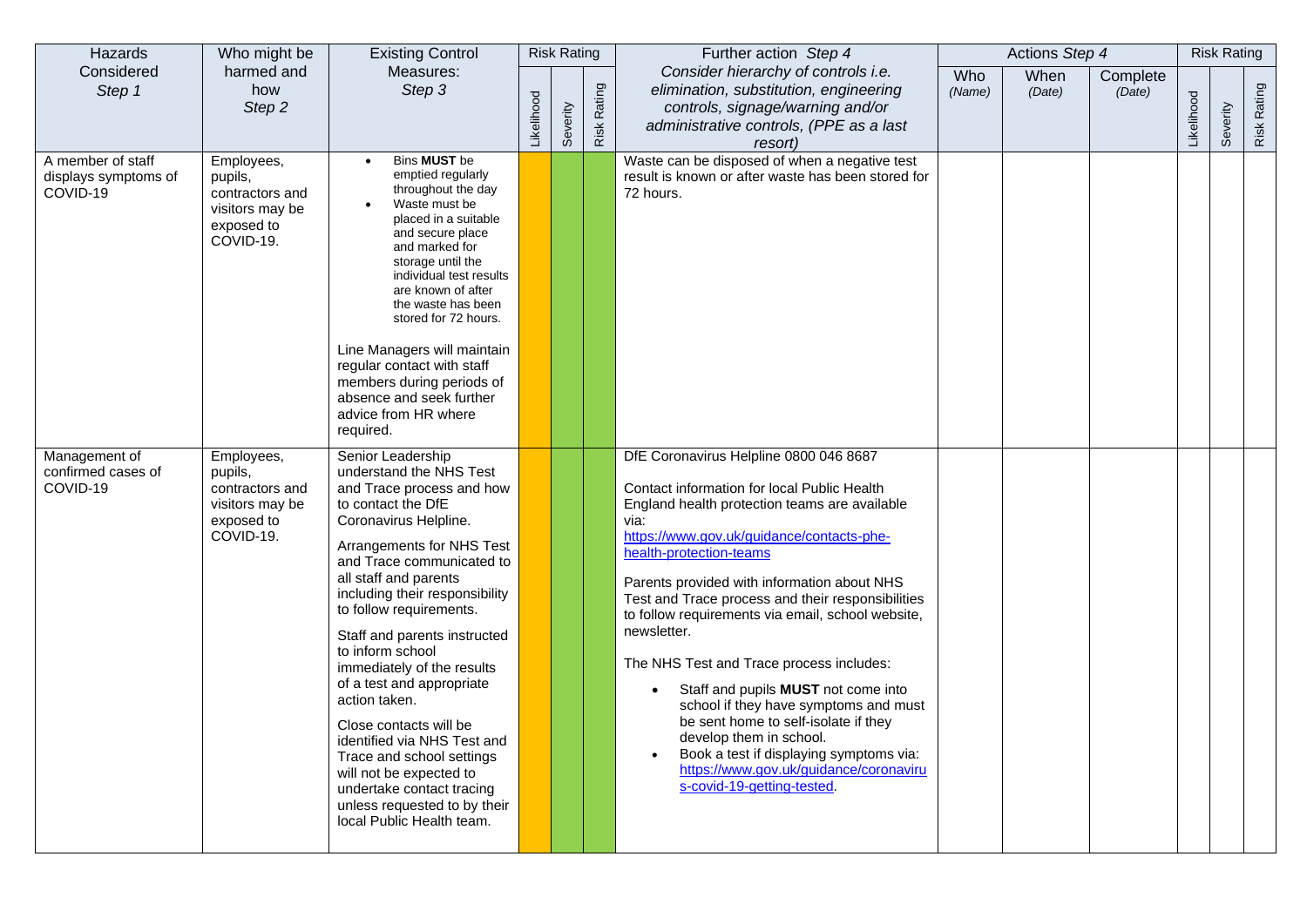| Hazards                                               | Who might be                                                                           | <b>Existing Control</b>                                                                                                                                                                                                                                                                                                                                                                                                                                                                                                                                                                                             |            | <b>Risk Rating</b> |             | Further action Step 4                                                                                                                                                                                                                                                                                                                                                                                                                                                                                                                                                                                                                                                                                           |               | Actions Step 4 |                    |            | <b>Risk Rating</b> |             |
|-------------------------------------------------------|----------------------------------------------------------------------------------------|---------------------------------------------------------------------------------------------------------------------------------------------------------------------------------------------------------------------------------------------------------------------------------------------------------------------------------------------------------------------------------------------------------------------------------------------------------------------------------------------------------------------------------------------------------------------------------------------------------------------|------------|--------------------|-------------|-----------------------------------------------------------------------------------------------------------------------------------------------------------------------------------------------------------------------------------------------------------------------------------------------------------------------------------------------------------------------------------------------------------------------------------------------------------------------------------------------------------------------------------------------------------------------------------------------------------------------------------------------------------------------------------------------------------------|---------------|----------------|--------------------|------------|--------------------|-------------|
| Considered<br>Step 1                                  | harmed and<br>how<br>Step 2                                                            | Measures:<br>Step 3                                                                                                                                                                                                                                                                                                                                                                                                                                                                                                                                                                                                 | Likelihood | Severity           | Risk Rating | Consider hierarchy of controls i.e.<br>elimination, substitution, engineering<br>controls, signage/warning and/or<br>administrative controls, (PPE as a last<br>resort)                                                                                                                                                                                                                                                                                                                                                                                                                                                                                                                                         | Who<br>(Name) | When<br>(Date) | Complete<br>(Date) | Likelihood | Severity           | Risk Rating |
| A member of staff<br>displays symptoms of<br>COVID-19 | Employees,<br>pupils,<br>contractors and<br>visitors may be<br>exposed to<br>COVID-19. | Bins MUST be<br>emptied regularly<br>throughout the day<br>Waste must be<br>placed in a suitable<br>and secure place<br>and marked for<br>storage until the<br>individual test results<br>are known of after<br>the waste has been<br>stored for 72 hours.<br>Line Managers will maintain<br>regular contact with staff<br>members during periods of<br>absence and seek further<br>advice from HR where<br>required.                                                                                                                                                                                               |            |                    |             | Waste can be disposed of when a negative test<br>result is known or after waste has been stored for<br>72 hours.                                                                                                                                                                                                                                                                                                                                                                                                                                                                                                                                                                                                |               |                |                    |            |                    |             |
| Management of<br>confirmed cases of<br>COVID-19       | Employees,<br>pupils,<br>contractors and<br>visitors may be<br>exposed to<br>COVID-19. | Senior Leadership<br>understand the NHS Test<br>and Trace process and how<br>to contact the DfE<br>Coronavirus Helpline.<br>Arrangements for NHS Test<br>and Trace communicated to<br>all staff and parents<br>including their responsibility<br>to follow requirements.<br>Staff and parents instructed<br>to inform school<br>immediately of the results<br>of a test and appropriate<br>action taken.<br>Close contacts will be<br>identified via NHS Test and<br>Trace and school settings<br>will not be expected to<br>undertake contact tracing<br>unless requested to by their<br>local Public Health team. |            |                    |             | DfE Coronavirus Helpline 0800 046 8687<br>Contact information for local Public Health<br>England health protection teams are available<br>via:<br>https://www.gov.uk/guidance/contacts-phe-<br>health-protection-teams<br>Parents provided with information about NHS<br>Test and Trace process and their responsibilities<br>to follow requirements via email, school website,<br>newsletter.<br>The NHS Test and Trace process includes:<br>Staff and pupils MUST not come into<br>school if they have symptoms and must<br>be sent home to self-isolate if they<br>develop them in school.<br>Book a test if displaying symptoms via:<br>https://www.gov.uk/guidance/coronaviru<br>s-covid-19-getting-tested |               |                |                    |            |                    |             |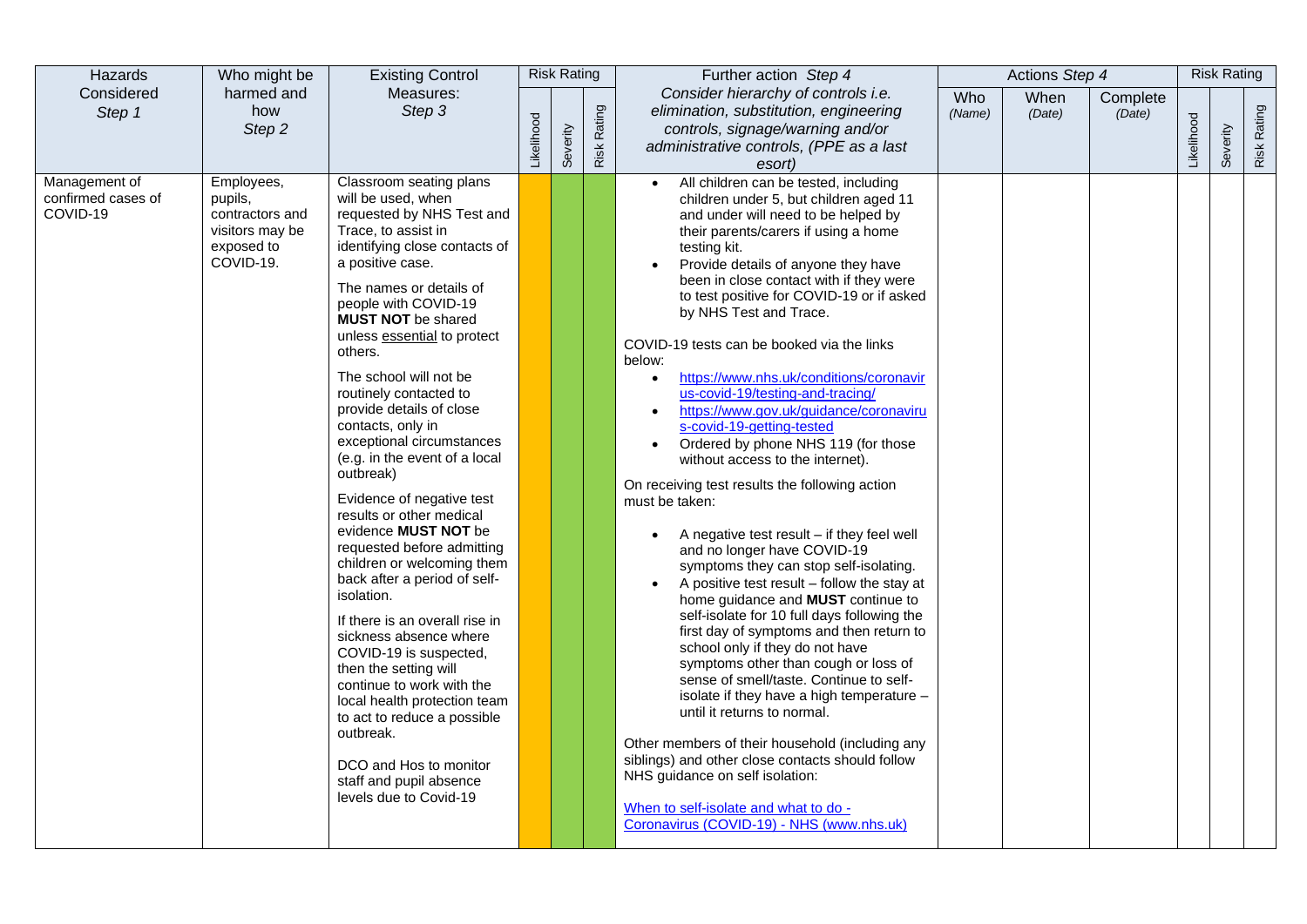| Hazards                                         | Who might be                                                                           | <b>Existing Control</b>                                                                                                                                                                                                                                                                                                                                                                                                                                                                                                                                                                                                                                                                                                                                                                                                                                                                                                                                                   |            | <b>Risk Rating</b> |             | Further action Step 4                                                                                                                                                                                                                                                                                                                                                                                                                                                                                                                                                                                                                                                                                                                                                                                                                                                                                                                                                                                                                                                                                                                                                                                                                                                                                                                                                                                                                                                                |               | Actions Step 4 |                    |            | <b>Risk Rating</b> |             |
|-------------------------------------------------|----------------------------------------------------------------------------------------|---------------------------------------------------------------------------------------------------------------------------------------------------------------------------------------------------------------------------------------------------------------------------------------------------------------------------------------------------------------------------------------------------------------------------------------------------------------------------------------------------------------------------------------------------------------------------------------------------------------------------------------------------------------------------------------------------------------------------------------------------------------------------------------------------------------------------------------------------------------------------------------------------------------------------------------------------------------------------|------------|--------------------|-------------|--------------------------------------------------------------------------------------------------------------------------------------------------------------------------------------------------------------------------------------------------------------------------------------------------------------------------------------------------------------------------------------------------------------------------------------------------------------------------------------------------------------------------------------------------------------------------------------------------------------------------------------------------------------------------------------------------------------------------------------------------------------------------------------------------------------------------------------------------------------------------------------------------------------------------------------------------------------------------------------------------------------------------------------------------------------------------------------------------------------------------------------------------------------------------------------------------------------------------------------------------------------------------------------------------------------------------------------------------------------------------------------------------------------------------------------------------------------------------------------|---------------|----------------|--------------------|------------|--------------------|-------------|
| Considered<br>Step 1                            | harmed and<br>how<br>Step 2                                                            | Measures:<br>Step 3                                                                                                                                                                                                                                                                                                                                                                                                                                                                                                                                                                                                                                                                                                                                                                                                                                                                                                                                                       | Likelihood | Severity           | Risk Rating | Consider hierarchy of controls i.e.<br>elimination, substitution, engineering<br>controls, signage/warning and/or<br>administrative controls, (PPE as a last<br>esort)                                                                                                                                                                                                                                                                                                                                                                                                                                                                                                                                                                                                                                                                                                                                                                                                                                                                                                                                                                                                                                                                                                                                                                                                                                                                                                               | Who<br>(Name) | When<br>(Date) | Complete<br>(Date) | Likelihood | Severity           | Risk Rating |
| Management of<br>confirmed cases of<br>COVID-19 | Employees,<br>pupils,<br>contractors and<br>visitors may be<br>exposed to<br>COVID-19. | Classroom seating plans<br>will be used, when<br>requested by NHS Test and<br>Trace, to assist in<br>identifying close contacts of<br>a positive case.<br>The names or details of<br>people with COVID-19<br><b>MUST NOT</b> be shared<br>unless essential to protect<br>others.<br>The school will not be<br>routinely contacted to<br>provide details of close<br>contacts, only in<br>exceptional circumstances<br>(e.g. in the event of a local<br>outbreak)<br>Evidence of negative test<br>results or other medical<br>evidence <b>MUST NOT</b> be<br>requested before admitting<br>children or welcoming them<br>back after a period of self-<br>isolation.<br>If there is an overall rise in<br>sickness absence where<br>COVID-19 is suspected,<br>then the setting will<br>continue to work with the<br>local health protection team<br>to act to reduce a possible<br>outbreak.<br>DCO and Hos to monitor<br>staff and pupil absence<br>levels due to Covid-19 |            |                    |             | All children can be tested, including<br>$\bullet$<br>children under 5, but children aged 11<br>and under will need to be helped by<br>their parents/carers if using a home<br>testing kit.<br>Provide details of anyone they have<br>been in close contact with if they were<br>to test positive for COVID-19 or if asked<br>by NHS Test and Trace.<br>COVID-19 tests can be booked via the links<br>below:<br>https://www.nhs.uk/conditions/coronavir<br>$\bullet$<br>us-covid-19/testing-and-tracing/<br>https://www.gov.uk/guidance/coronaviru<br>s-covid-19-getting-tested<br>Ordered by phone NHS 119 (for those<br>$\bullet$<br>without access to the internet).<br>On receiving test results the following action<br>must be taken:<br>A negative test result - if they feel well<br>and no longer have COVID-19<br>symptoms they can stop self-isolating.<br>A positive test result - follow the stay at<br>home guidance and MUST continue to<br>self-isolate for 10 full days following the<br>first day of symptoms and then return to<br>school only if they do not have<br>symptoms other than cough or loss of<br>sense of smell/taste. Continue to self-<br>isolate if they have a high temperature -<br>until it returns to normal.<br>Other members of their household (including any<br>siblings) and other close contacts should follow<br>NHS guidance on self isolation:<br>When to self-isolate and what to do -<br>Coronavirus (COVID-19) - NHS (www.nhs.uk) |               |                |                    |            |                    |             |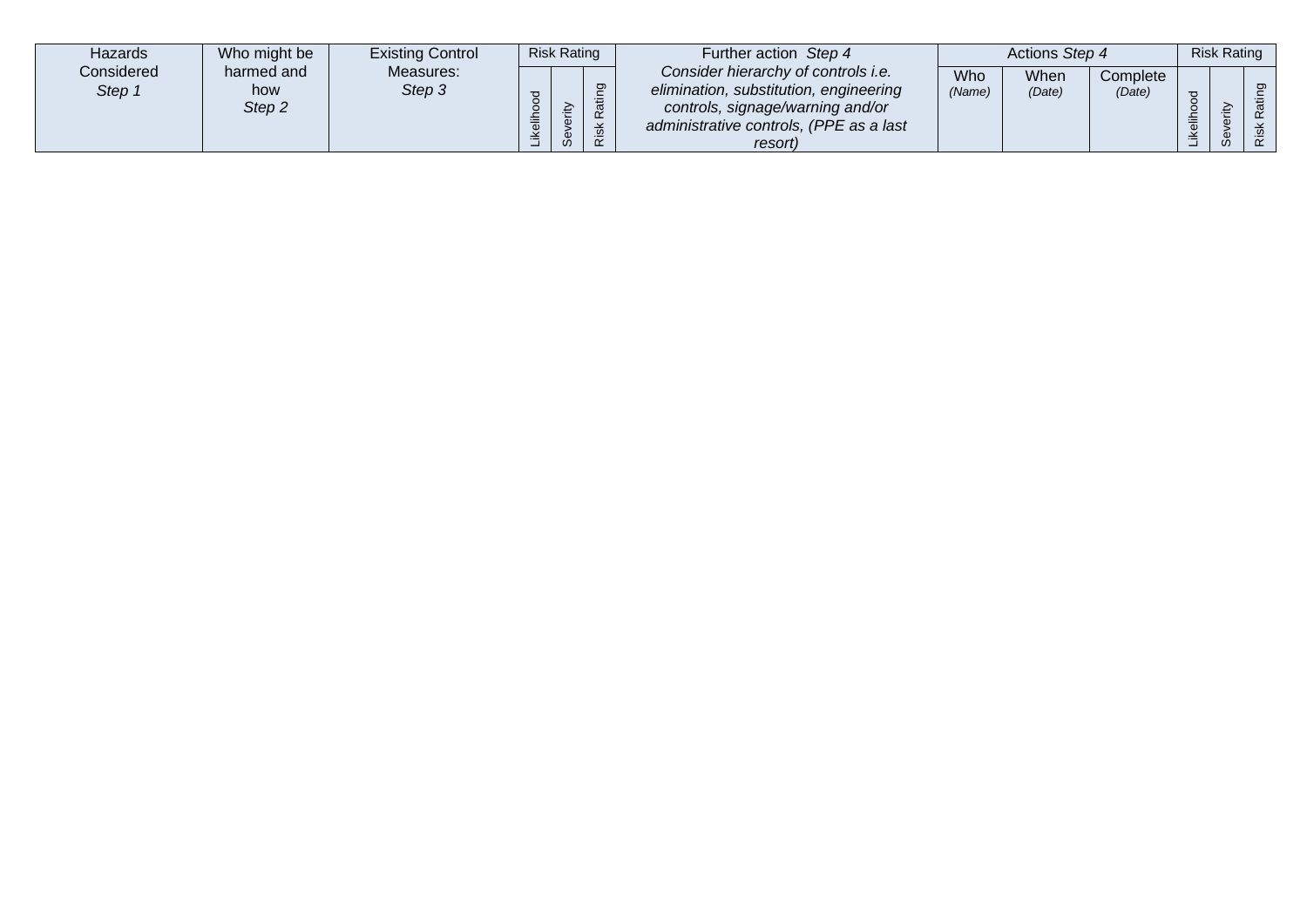| Hazards              | Who might be                           | <b>Existing Control</b> |          | <b>Risk Rating</b>               |                                              | Further action Step 4                                                                                                                                                   |               | Actions Step 4 |                    |        | <b>Risk Rating</b> |                 |
|----------------------|----------------------------------------|-------------------------|----------|----------------------------------|----------------------------------------------|-------------------------------------------------------------------------------------------------------------------------------------------------------------------------|---------------|----------------|--------------------|--------|--------------------|-----------------|
| Considered<br>Step 1 | harmed and<br>how<br>Step <sub>2</sub> | Measures:<br>Step 3     | $\sigma$ | ₹<br>$\Omega$<br>CD.<br>$\omega$ | ත<br>ത<br>$\overline{\phantom{0}}$<br>ᅩ<br>ဖ | Consider hierarchy of controls i.e.<br>elimination, substitution, engineering<br>controls, signage/warning and/or<br>administrative controls, (PPE as a last<br>resort) | Who<br>(Name) | When<br>(Date) | Complete<br>(Date) | 高<br>兰 |                    | ರಾ<br>$\propto$ |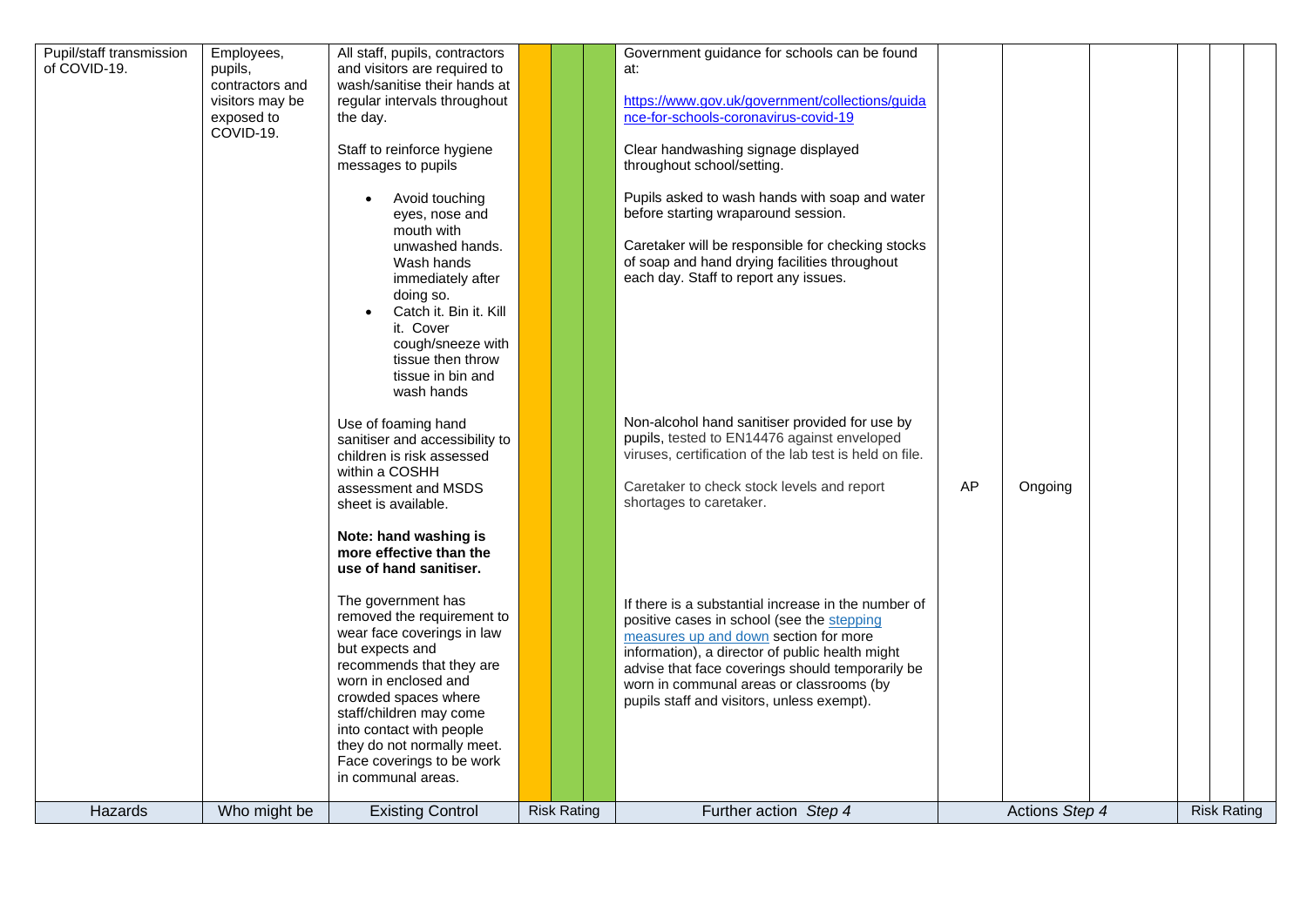| Pupil/staff transmission<br>of COVID-19. | Employees,<br>pupils,<br>contractors and<br>visitors may be<br>exposed to<br>COVID-19. | All staff, pupils, contractors<br>and visitors are required to<br>wash/sanitise their hands at<br>regular intervals throughout<br>the day.<br>Staff to reinforce hygiene<br>messages to pupils<br>Avoid touching<br>eyes, nose and<br>mouth with<br>unwashed hands.<br>Wash hands<br>immediately after<br>doing so.<br>Catch it. Bin it. Kill<br>it. Cover                                          |                    | Government guidance for schools can be found<br>at:<br>https://www.gov.uk/government/collections/guida<br>nce-for-schools-coronavirus-covid-19<br>Clear handwashing signage displayed<br>throughout school/setting.<br>Pupils asked to wash hands with soap and water<br>before starting wraparound session.<br>Caretaker will be responsible for checking stocks<br>of soap and hand drying facilities throughout<br>each day. Staff to report any issues. |    |                |  |                    |  |
|------------------------------------------|----------------------------------------------------------------------------------------|-----------------------------------------------------------------------------------------------------------------------------------------------------------------------------------------------------------------------------------------------------------------------------------------------------------------------------------------------------------------------------------------------------|--------------------|-------------------------------------------------------------------------------------------------------------------------------------------------------------------------------------------------------------------------------------------------------------------------------------------------------------------------------------------------------------------------------------------------------------------------------------------------------------|----|----------------|--|--------------------|--|
|                                          |                                                                                        | cough/sneeze with<br>tissue then throw<br>tissue in bin and<br>wash hands<br>Use of foaming hand<br>sanitiser and accessibility to<br>children is risk assessed<br>within a COSHH<br>assessment and MSDS<br>sheet is available.                                                                                                                                                                     |                    | Non-alcohol hand sanitiser provided for use by<br>pupils, tested to EN14476 against enveloped<br>viruses, certification of the lab test is held on file.<br>Caretaker to check stock levels and report<br>shortages to caretaker.                                                                                                                                                                                                                           | AP | Ongoing        |  |                    |  |
|                                          |                                                                                        | Note: hand washing is<br>more effective than the<br>use of hand sanitiser.<br>The government has<br>removed the requirement to<br>wear face coverings in law<br>but expects and<br>recommends that they are<br>worn in enclosed and<br>crowded spaces where<br>staff/children may come<br>into contact with people<br>they do not normally meet.<br>Face coverings to be work<br>in communal areas. |                    | If there is a substantial increase in the number of<br>positive cases in school (see the stepping<br>measures up and down section for more<br>information), a director of public health might<br>advise that face coverings should temporarily be<br>worn in communal areas or classrooms (by<br>pupils staff and visitors, unless exempt).                                                                                                                 |    |                |  |                    |  |
| Hazards                                  | Who might be                                                                           | <b>Existing Control</b>                                                                                                                                                                                                                                                                                                                                                                             | <b>Risk Rating</b> | Further action Step 4                                                                                                                                                                                                                                                                                                                                                                                                                                       |    | Actions Step 4 |  | <b>Risk Rating</b> |  |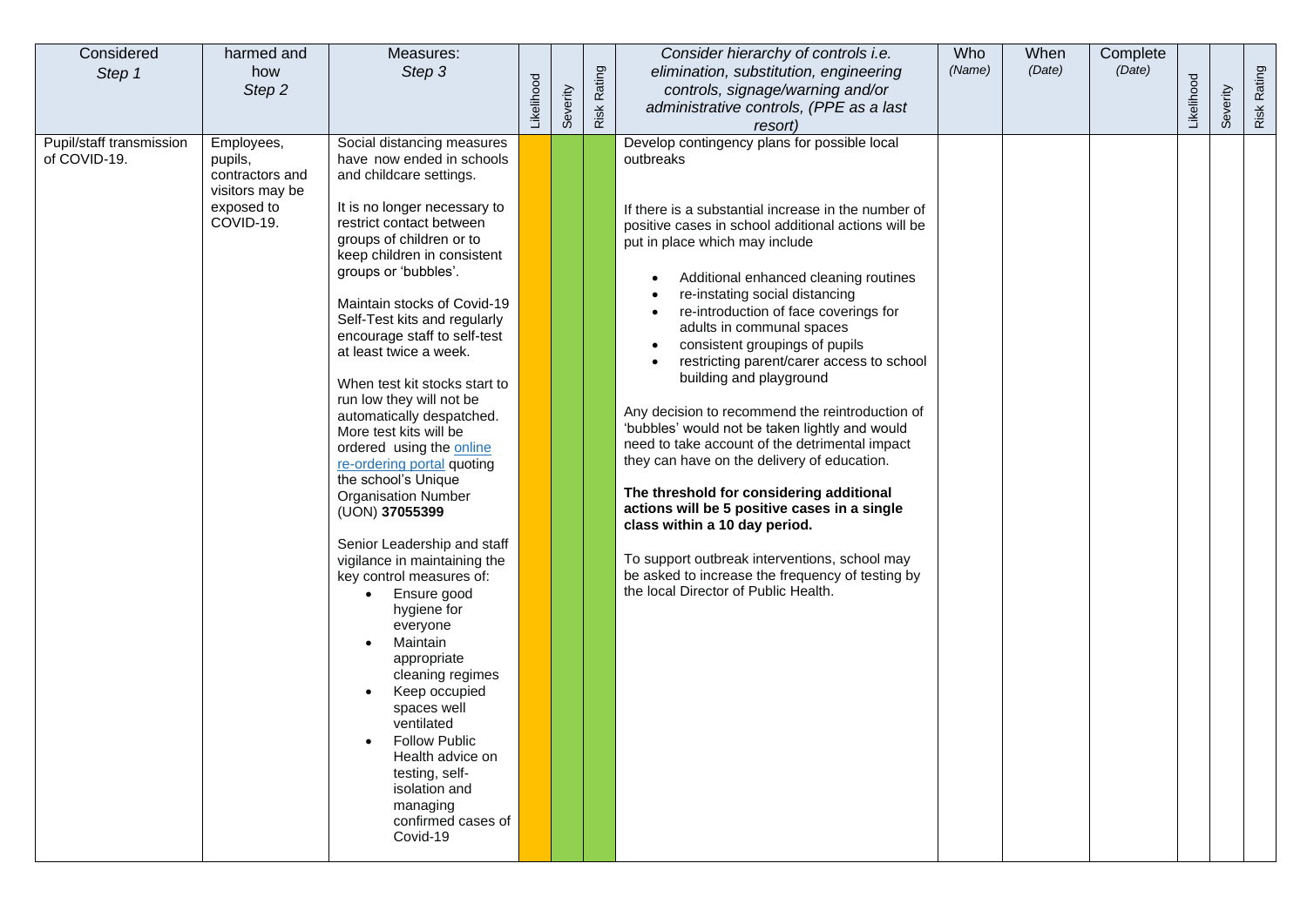| Considered<br>Step 1                     | harmed and<br>how<br>Step 2                                                            | Measures:<br>Step 3                                                                                                                                                                                                                                                                                                                                                                                                                                                                                                                                                                                                                                                                                                                                                                                                                                                                                                                                                                         | Likelihood | Severity | Risk Rating | Consider hierarchy of controls i.e.<br>elimination, substitution, engineering<br>controls, signage/warning and/or<br>administrative controls, (PPE as a last<br>resort)                                                                                                                                                                                                                                                                                                                                                                                                                                                                                                                                                                                                                                                                                                                                                                              | Who<br>(Name) | When<br>(Date) | Complete<br>(Date) | Likelihood | Severity | Risk Rating |
|------------------------------------------|----------------------------------------------------------------------------------------|---------------------------------------------------------------------------------------------------------------------------------------------------------------------------------------------------------------------------------------------------------------------------------------------------------------------------------------------------------------------------------------------------------------------------------------------------------------------------------------------------------------------------------------------------------------------------------------------------------------------------------------------------------------------------------------------------------------------------------------------------------------------------------------------------------------------------------------------------------------------------------------------------------------------------------------------------------------------------------------------|------------|----------|-------------|------------------------------------------------------------------------------------------------------------------------------------------------------------------------------------------------------------------------------------------------------------------------------------------------------------------------------------------------------------------------------------------------------------------------------------------------------------------------------------------------------------------------------------------------------------------------------------------------------------------------------------------------------------------------------------------------------------------------------------------------------------------------------------------------------------------------------------------------------------------------------------------------------------------------------------------------------|---------------|----------------|--------------------|------------|----------|-------------|
| Pupil/staff transmission<br>of COVID-19. | Employees,<br>pupils,<br>contractors and<br>visitors may be<br>exposed to<br>COVID-19. | Social distancing measures<br>have now ended in schools<br>and childcare settings.<br>It is no longer necessary to<br>restrict contact between<br>groups of children or to<br>keep children in consistent<br>groups or 'bubbles'.<br>Maintain stocks of Covid-19<br>Self-Test kits and regularly<br>encourage staff to self-test<br>at least twice a week.<br>When test kit stocks start to<br>run low they will not be<br>automatically despatched.<br>More test kits will be<br>ordered using the online<br>re-ordering portal quoting<br>the school's Unique<br><b>Organisation Number</b><br>(UON) 37055399<br>Senior Leadership and staff<br>vigilance in maintaining the<br>key control measures of:<br>Ensure good<br>$\bullet$<br>hygiene for<br>everyone<br>Maintain<br>appropriate<br>cleaning regimes<br>Keep occupied<br>spaces well<br>ventilated<br><b>Follow Public</b><br>Health advice on<br>testing, self-<br>isolation and<br>managing<br>confirmed cases of<br>Covid-19 |            |          |             | Develop contingency plans for possible local<br>outbreaks<br>If there is a substantial increase in the number of<br>positive cases in school additional actions will be<br>put in place which may include<br>Additional enhanced cleaning routines<br>re-instating social distancing<br>re-introduction of face coverings for<br>adults in communal spaces<br>consistent groupings of pupils<br>restricting parent/carer access to school<br>building and playground<br>Any decision to recommend the reintroduction of<br>'bubbles' would not be taken lightly and would<br>need to take account of the detrimental impact<br>they can have on the delivery of education.<br>The threshold for considering additional<br>actions will be 5 positive cases in a single<br>class within a 10 day period.<br>To support outbreak interventions, school may<br>be asked to increase the frequency of testing by<br>the local Director of Public Health. |               |                |                    |            |          |             |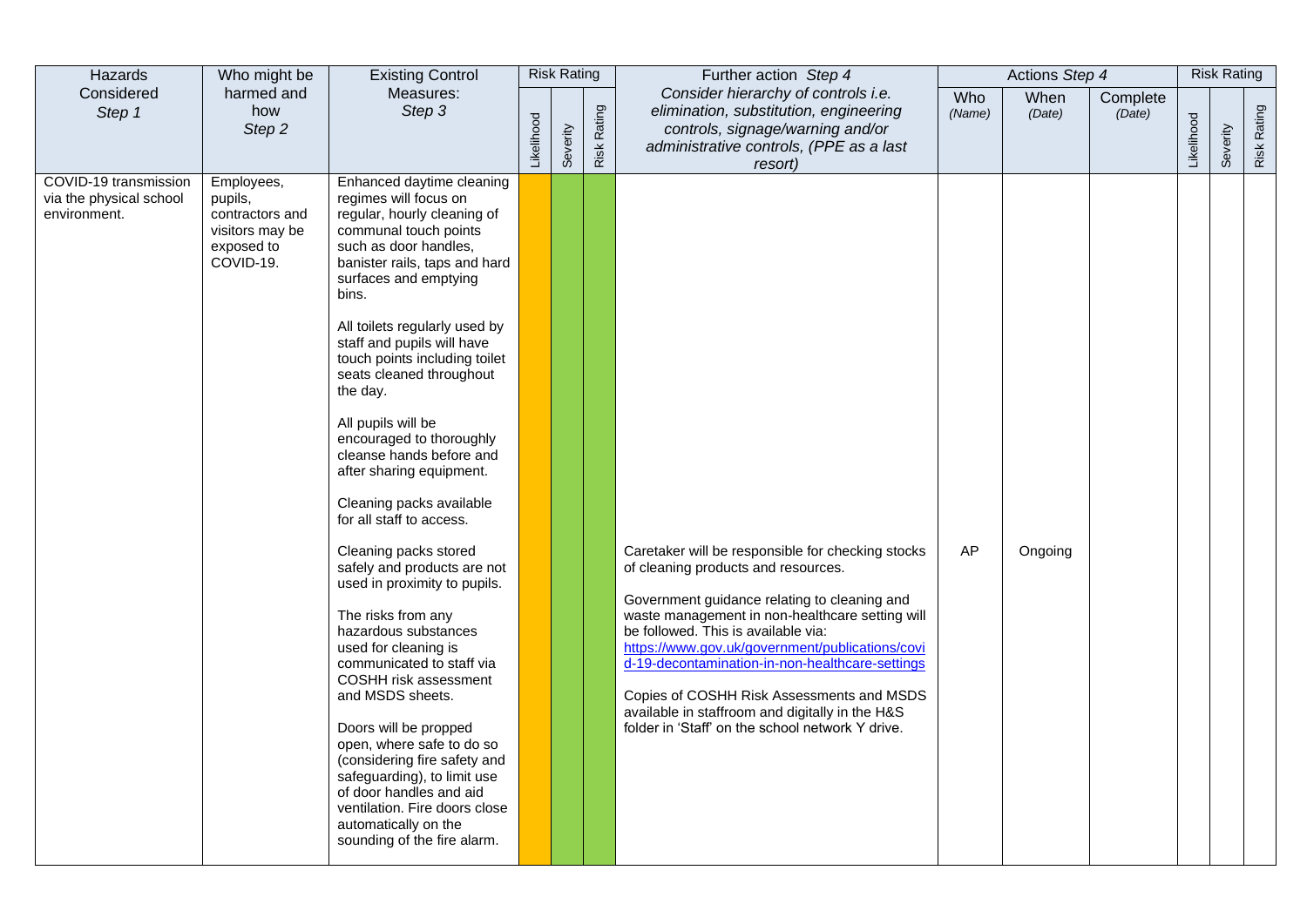| Hazards                                                          | Who might be                                                                           | <b>Existing Control</b>                                                                                                                                                                                                                                                                                                                                                                                                                                                                                                                                                                                                                                                                                                                                                                                                                                                                                                                                                                          |            | <b>Risk Rating</b> |             | Further action Step 4                                                                                                                                                                                                                                                                                                                                                                                                                                                                        |               | Actions Step 4 |                    |            | <b>Risk Rating</b> |             |
|------------------------------------------------------------------|----------------------------------------------------------------------------------------|--------------------------------------------------------------------------------------------------------------------------------------------------------------------------------------------------------------------------------------------------------------------------------------------------------------------------------------------------------------------------------------------------------------------------------------------------------------------------------------------------------------------------------------------------------------------------------------------------------------------------------------------------------------------------------------------------------------------------------------------------------------------------------------------------------------------------------------------------------------------------------------------------------------------------------------------------------------------------------------------------|------------|--------------------|-------------|----------------------------------------------------------------------------------------------------------------------------------------------------------------------------------------------------------------------------------------------------------------------------------------------------------------------------------------------------------------------------------------------------------------------------------------------------------------------------------------------|---------------|----------------|--------------------|------------|--------------------|-------------|
| Considered<br>Step 1                                             | harmed and<br>how<br>Step 2                                                            | Measures:<br>Step 3                                                                                                                                                                                                                                                                                                                                                                                                                                                                                                                                                                                                                                                                                                                                                                                                                                                                                                                                                                              | Likelihood | Severity           | Risk Rating | Consider hierarchy of controls i.e.<br>elimination, substitution, engineering<br>controls, signage/warning and/or<br>administrative controls, (PPE as a last<br>resort)                                                                                                                                                                                                                                                                                                                      | Who<br>(Name) | When<br>(Date) | Complete<br>(Date) | Likelihood | Severity           | Risk Rating |
| COVID-19 transmission<br>via the physical school<br>environment. | Employees,<br>pupils,<br>contractors and<br>visitors may be<br>exposed to<br>COVID-19. | Enhanced daytime cleaning<br>regimes will focus on<br>regular, hourly cleaning of<br>communal touch points<br>such as door handles,<br>banister rails, taps and hard<br>surfaces and emptying<br>bins.<br>All toilets regularly used by<br>staff and pupils will have<br>touch points including toilet<br>seats cleaned throughout<br>the day.<br>All pupils will be<br>encouraged to thoroughly<br>cleanse hands before and<br>after sharing equipment.<br>Cleaning packs available<br>for all staff to access.<br>Cleaning packs stored<br>safely and products are not<br>used in proximity to pupils.<br>The risks from any<br>hazardous substances<br>used for cleaning is<br>communicated to staff via<br>COSHH risk assessment<br>and MSDS sheets.<br>Doors will be propped<br>open, where safe to do so<br>(considering fire safety and<br>safeguarding), to limit use<br>of door handles and aid<br>ventilation. Fire doors close<br>automatically on the<br>sounding of the fire alarm. |            |                    |             | Caretaker will be responsible for checking stocks<br>of cleaning products and resources.<br>Government guidance relating to cleaning and<br>waste management in non-healthcare setting will<br>be followed. This is available via:<br>https://www.gov.uk/government/publications/covi<br>d-19-decontamination-in-non-healthcare-settings<br>Copies of COSHH Risk Assessments and MSDS<br>available in staffroom and digitally in the H&S<br>folder in 'Staff' on the school network Y drive. | AP            | Ongoing        |                    |            |                    |             |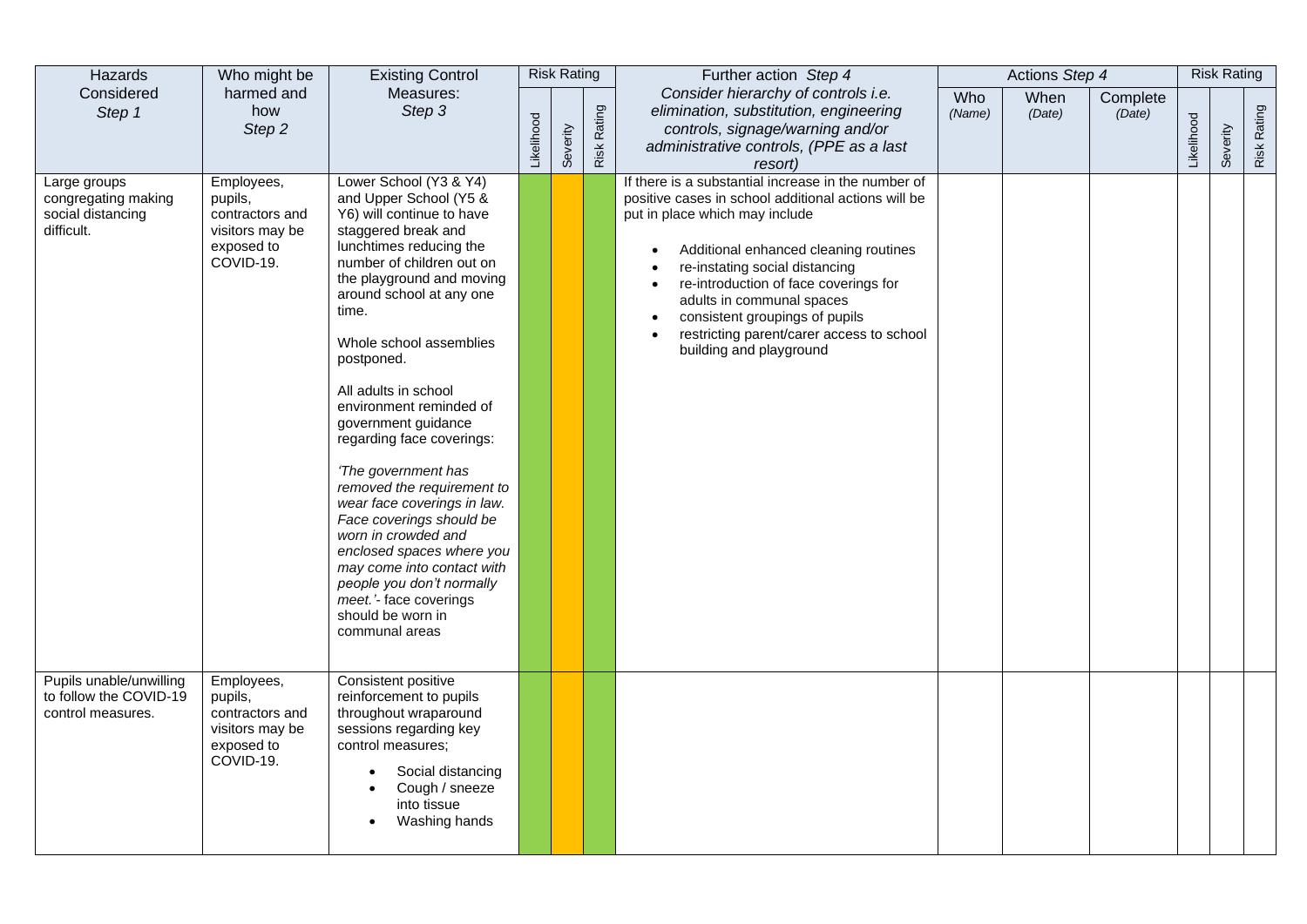| Hazards                                                                | Who might be                                                                           | <b>Existing Control</b>                                                                                                                                                                                                                                                                                                                                                                                                                                                                                                                                                                                                                                                        |            | <b>Risk Rating</b> |                    | Further action Step 4                                                                                                                                                                                                                                                                                                                                                                                   |               | Actions Step 4 |                    |            | <b>Risk Rating</b> |             |
|------------------------------------------------------------------------|----------------------------------------------------------------------------------------|--------------------------------------------------------------------------------------------------------------------------------------------------------------------------------------------------------------------------------------------------------------------------------------------------------------------------------------------------------------------------------------------------------------------------------------------------------------------------------------------------------------------------------------------------------------------------------------------------------------------------------------------------------------------------------|------------|--------------------|--------------------|---------------------------------------------------------------------------------------------------------------------------------------------------------------------------------------------------------------------------------------------------------------------------------------------------------------------------------------------------------------------------------------------------------|---------------|----------------|--------------------|------------|--------------------|-------------|
| Considered<br>Step 1                                                   | harmed and<br>how<br>Step 2                                                            | Measures:<br>Step 3                                                                                                                                                                                                                                                                                                                                                                                                                                                                                                                                                                                                                                                            | Likelihood | Severity           | <b>Risk Rating</b> | Consider hierarchy of controls i.e.<br>elimination, substitution, engineering<br>controls, signage/warning and/or<br>administrative controls, (PPE as a last<br>resort)                                                                                                                                                                                                                                 | Who<br>(Name) | When<br>(Date) | Complete<br>(Date) | Likelihood | Severity           | Risk Rating |
| Large groups<br>congregating making<br>social distancing<br>difficult. | Employees,<br>pupils,<br>contractors and<br>visitors may be<br>exposed to<br>COVID-19. | Lower School (Y3 & Y4)<br>and Upper School (Y5 &<br>Y6) will continue to have<br>staggered break and<br>lunchtimes reducing the<br>number of children out on<br>the playground and moving<br>around school at any one<br>time.<br>Whole school assemblies<br>postponed.<br>All adults in school<br>environment reminded of<br>government guidance<br>regarding face coverings:<br>'The government has<br>removed the requirement to<br>wear face coverings in law.<br>Face coverings should be<br>worn in crowded and<br>enclosed spaces where you<br>may come into contact with<br>people you don't normally<br>meet.'- face coverings<br>should be worn in<br>communal areas |            |                    |                    | If there is a substantial increase in the number of<br>positive cases in school additional actions will be<br>put in place which may include<br>Additional enhanced cleaning routines<br>re-instating social distancing<br>re-introduction of face coverings for<br>adults in communal spaces<br>consistent groupings of pupils<br>restricting parent/carer access to school<br>building and playground |               |                |                    |            |                    |             |
| Pupils unable/unwilling<br>to follow the COVID-19<br>control measures. | Employees,<br>pupils,<br>contractors and<br>visitors may be<br>exposed to<br>COVID-19. | Consistent positive<br>reinforcement to pupils<br>throughout wraparound<br>sessions regarding key<br>control measures:<br>Social distancing<br>Cough / sneeze<br>into tissue<br>Washing hands                                                                                                                                                                                                                                                                                                                                                                                                                                                                                  |            |                    |                    |                                                                                                                                                                                                                                                                                                                                                                                                         |               |                |                    |            |                    |             |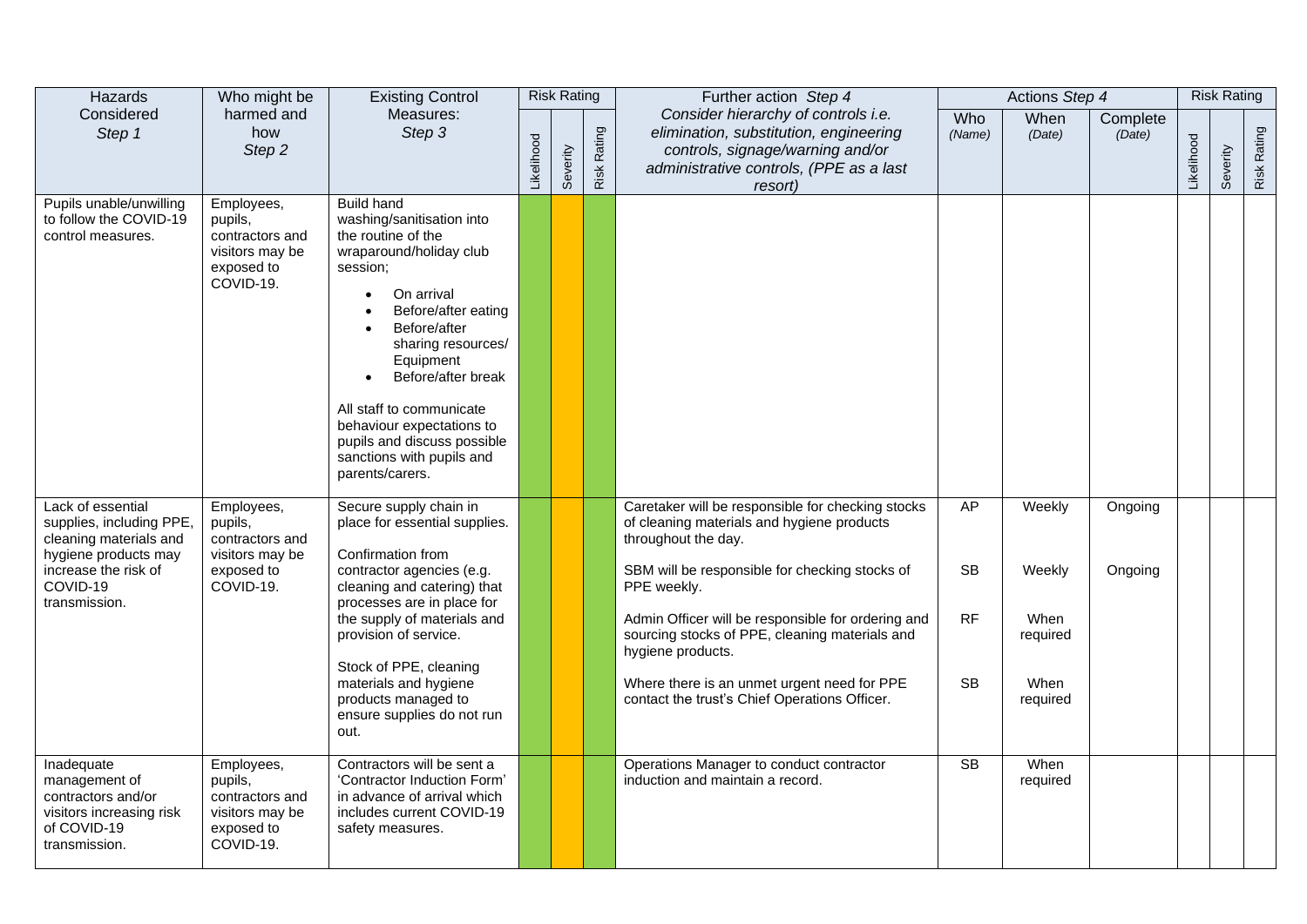| Hazards                                                                                                                                              | Who might be                                                                           | <b>Existing Control</b>                                                                                                                                                                                                                                                                                                                                           |            | <b>Risk Rating</b> |                    | Further action Step 4                                                                                                                                                                                                                         |                        | Actions Step 4               |                    |            | <b>Risk Rating</b> |             |
|------------------------------------------------------------------------------------------------------------------------------------------------------|----------------------------------------------------------------------------------------|-------------------------------------------------------------------------------------------------------------------------------------------------------------------------------------------------------------------------------------------------------------------------------------------------------------------------------------------------------------------|------------|--------------------|--------------------|-----------------------------------------------------------------------------------------------------------------------------------------------------------------------------------------------------------------------------------------------|------------------------|------------------------------|--------------------|------------|--------------------|-------------|
| Considered<br>Step 1                                                                                                                                 | harmed and<br>how<br>Step 2                                                            | Measures:<br>Step 3                                                                                                                                                                                                                                                                                                                                               | Likelihood | Severity           | <b>Risk Rating</b> | Consider hierarchy of controls i.e.<br>elimination, substitution, engineering<br>controls, signage/warning and/or<br>administrative controls, (PPE as a last<br>resort)                                                                       | Who<br>(Name)          | When<br>(Date)               | Complete<br>(Date) | Likelihood | Severity           | Risk Rating |
| Pupils unable/unwilling<br>to follow the COVID-19<br>control measures.                                                                               | Employees,<br>pupils,<br>contractors and<br>visitors may be<br>exposed to<br>COVID-19. | <b>Build hand</b><br>washing/sanitisation into<br>the routine of the<br>wraparound/holiday club<br>session;<br>On arrival<br>Before/after eating<br>Before/after<br>sharing resources/<br>Equipment<br>Before/after break<br>All staff to communicate<br>behaviour expectations to<br>pupils and discuss possible<br>sanctions with pupils and<br>parents/carers. |            |                    |                    |                                                                                                                                                                                                                                               |                        |                              |                    |            |                    |             |
| Lack of essential<br>supplies, including PPE,<br>cleaning materials and<br>hygiene products may<br>increase the risk of<br>COVID-19<br>transmission. | Employees,<br>pupils,<br>contractors and<br>visitors may be<br>exposed to<br>COVID-19. | Secure supply chain in<br>place for essential supplies.<br>Confirmation from<br>contractor agencies (e.g.<br>cleaning and catering) that<br>processes are in place for<br>the supply of materials and                                                                                                                                                             |            |                    |                    | Caretaker will be responsible for checking stocks<br>of cleaning materials and hygiene products<br>throughout the day.<br>SBM will be responsible for checking stocks of<br>PPE weekly.<br>Admin Officer will be responsible for ordering and | AP<br><b>SB</b><br>RF  | Weekly<br>Weekly<br>When     | Ongoing<br>Ongoing |            |                    |             |
|                                                                                                                                                      |                                                                                        | provision of service.<br>Stock of PPE, cleaning<br>materials and hygiene<br>products managed to<br>ensure supplies do not run<br>out.                                                                                                                                                                                                                             |            |                    |                    | sourcing stocks of PPE, cleaning materials and<br>hygiene products.<br>Where there is an unmet urgent need for PPE<br>contact the trust's Chief Operations Officer.                                                                           | <b>SB</b>              | required<br>When<br>required |                    |            |                    |             |
| Inadequate<br>management of<br>contractors and/or<br>visitors increasing risk<br>of COVID-19<br>transmission.                                        | Employees,<br>pupils,<br>contractors and<br>visitors may be<br>exposed to<br>COVID-19. | Contractors will be sent a<br>'Contractor Induction Form'<br>in advance of arrival which<br>includes current COVID-19<br>safety measures.                                                                                                                                                                                                                         |            |                    |                    | Operations Manager to conduct contractor<br>induction and maintain a record.                                                                                                                                                                  | $\overline{\text{SB}}$ | When<br>required             |                    |            |                    |             |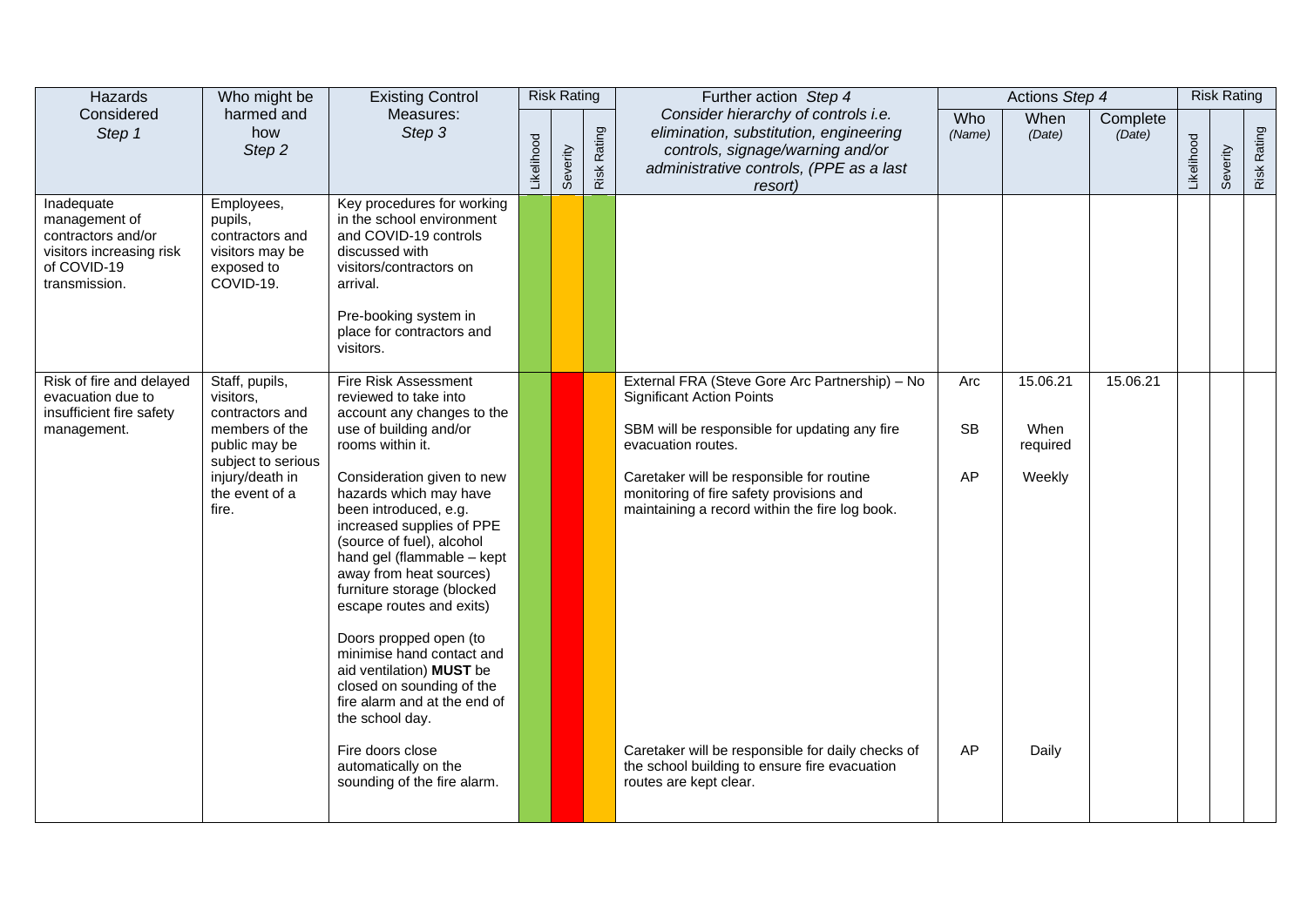| Hazards                                                                                                       | Who might be                                                                                                                                          | <b>Existing Control</b>                                                                                                                                                                                                                                                                                                                                                                                                                                                                                                                                                                                                                      |            | <b>Risk Rating</b> |             | Further action Step 4                                                                                                                                                                                                                                                                                                                                                                                                                |                              | Actions Step 4                                  |                    |            | <b>Risk Rating</b> |             |
|---------------------------------------------------------------------------------------------------------------|-------------------------------------------------------------------------------------------------------------------------------------------------------|----------------------------------------------------------------------------------------------------------------------------------------------------------------------------------------------------------------------------------------------------------------------------------------------------------------------------------------------------------------------------------------------------------------------------------------------------------------------------------------------------------------------------------------------------------------------------------------------------------------------------------------------|------------|--------------------|-------------|--------------------------------------------------------------------------------------------------------------------------------------------------------------------------------------------------------------------------------------------------------------------------------------------------------------------------------------------------------------------------------------------------------------------------------------|------------------------------|-------------------------------------------------|--------------------|------------|--------------------|-------------|
| Considered<br>Step 1                                                                                          | harmed and<br>how<br>Step 2                                                                                                                           | Measures:<br>Step 3                                                                                                                                                                                                                                                                                                                                                                                                                                                                                                                                                                                                                          | Likelihood | Severity           | Risk Rating | Consider hierarchy of controls i.e.<br>elimination, substitution, engineering<br>controls, signage/warning and/or<br>administrative controls, (PPE as a last<br>resort)                                                                                                                                                                                                                                                              | Who<br>(Name)                | When<br>(Date)                                  | Complete<br>(Date) | Likelihood | Severity           | Risk Rating |
| Inadequate<br>management of<br>contractors and/or<br>visitors increasing risk<br>of COVID-19<br>transmission. | Employees,<br>pupils,<br>contractors and<br>visitors may be<br>exposed to<br>COVID-19.                                                                | Key procedures for working<br>in the school environment<br>and COVID-19 controls<br>discussed with<br>visitors/contractors on<br>arrival.<br>Pre-booking system in<br>place for contractors and<br>visitors.                                                                                                                                                                                                                                                                                                                                                                                                                                 |            |                    |             |                                                                                                                                                                                                                                                                                                                                                                                                                                      |                              |                                                 |                    |            |                    |             |
| Risk of fire and delayed<br>evacuation due to<br>insufficient fire safety<br>management.                      | Staff, pupils,<br>visitors.<br>contractors and<br>members of the<br>public may be<br>subject to serious<br>injury/death in<br>the event of a<br>fire. | <b>Fire Risk Assessment</b><br>reviewed to take into<br>account any changes to the<br>use of building and/or<br>rooms within it.<br>Consideration given to new<br>hazards which may have<br>been introduced, e.g.<br>increased supplies of PPE<br>(source of fuel), alcohol<br>hand gel (flammable - kept<br>away from heat sources)<br>furniture storage (blocked<br>escape routes and exits)<br>Doors propped open (to<br>minimise hand contact and<br>aid ventilation) MUST be<br>closed on sounding of the<br>fire alarm and at the end of<br>the school day.<br>Fire doors close<br>automatically on the<br>sounding of the fire alarm. |            |                    |             | External FRA (Steve Gore Arc Partnership) - No<br><b>Significant Action Points</b><br>SBM will be responsible for updating any fire<br>evacuation routes.<br>Caretaker will be responsible for routine<br>monitoring of fire safety provisions and<br>maintaining a record within the fire log book.<br>Caretaker will be responsible for daily checks of<br>the school building to ensure fire evacuation<br>routes are kept clear. | Arc<br><b>SB</b><br>AP<br>AP | 15.06.21<br>When<br>required<br>Weekly<br>Daily | 15.06.21           |            |                    |             |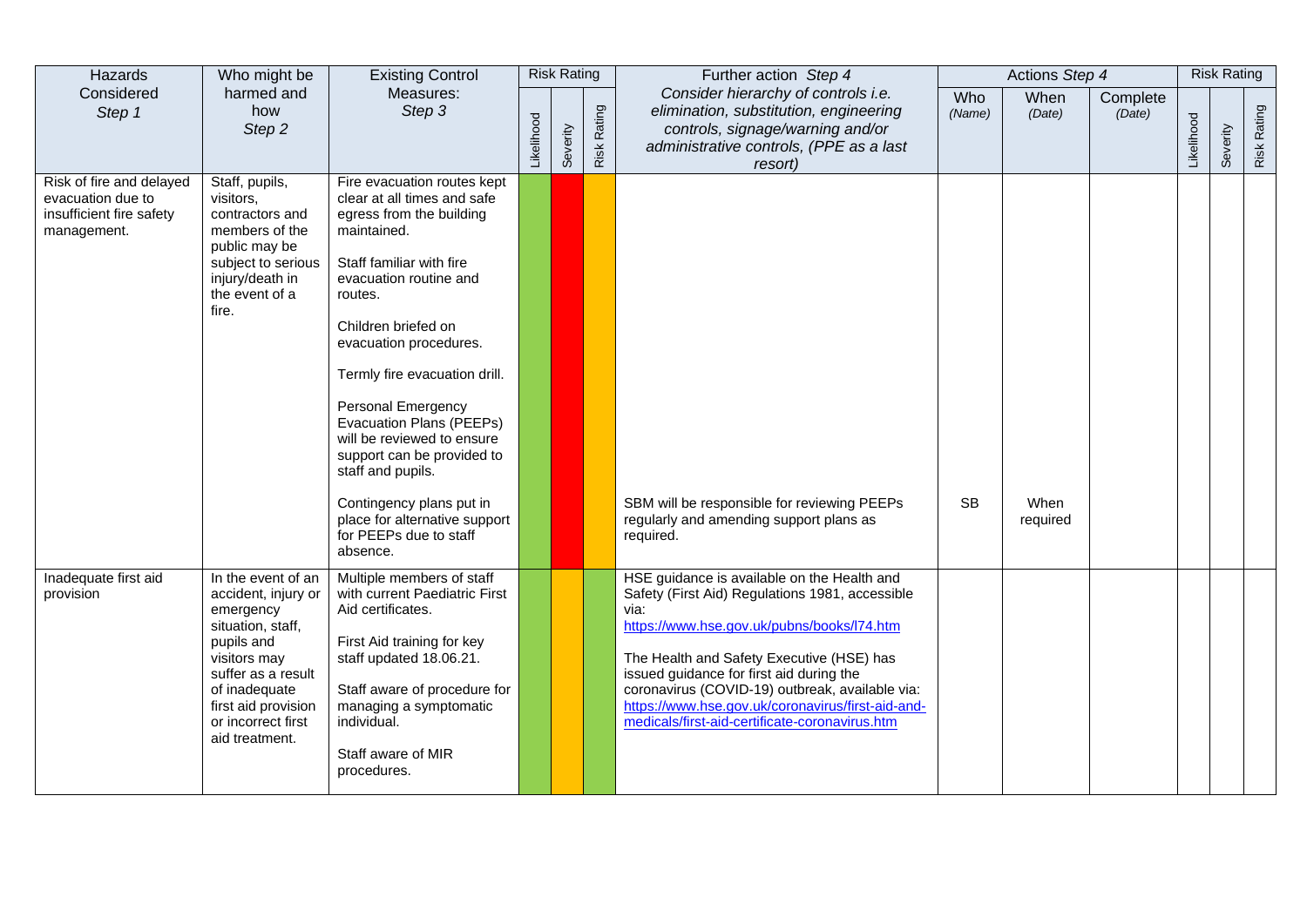| Hazards                                                                                  | Who might be                                                                                                                                                                                                    | <b>Existing Control</b>                                                                                                                                                                                                                                                                                                                                                                                                                                                                               |            | <b>Risk Rating</b> |             | Further action Step 4                                                                                                                                                                                                                                                                                                                                                                                   |               | Actions Step 4   |                    |            | <b>Risk Rating</b> |             |
|------------------------------------------------------------------------------------------|-----------------------------------------------------------------------------------------------------------------------------------------------------------------------------------------------------------------|-------------------------------------------------------------------------------------------------------------------------------------------------------------------------------------------------------------------------------------------------------------------------------------------------------------------------------------------------------------------------------------------------------------------------------------------------------------------------------------------------------|------------|--------------------|-------------|---------------------------------------------------------------------------------------------------------------------------------------------------------------------------------------------------------------------------------------------------------------------------------------------------------------------------------------------------------------------------------------------------------|---------------|------------------|--------------------|------------|--------------------|-------------|
| Considered<br>Step 1                                                                     | harmed and<br>how<br>Step <sub>2</sub>                                                                                                                                                                          | Measures:<br>Step <sub>3</sub>                                                                                                                                                                                                                                                                                                                                                                                                                                                                        | Likelihood | Severity           | Risk Rating | Consider hierarchy of controls i.e.<br>elimination, substitution, engineering<br>controls, signage/warning and/or<br>administrative controls, (PPE as a last<br>resort)                                                                                                                                                                                                                                 | Who<br>(Name) | When<br>(Date)   | Complete<br>(Date) | Likelihood | Severity           | Risk Rating |
| Risk of fire and delayed<br>evacuation due to<br>insufficient fire safety<br>management. | Staff, pupils,<br>visitors,<br>contractors and<br>members of the<br>public may be<br>subject to serious<br>injury/death in<br>the event of a<br>fire.                                                           | Fire evacuation routes kept<br>clear at all times and safe<br>egress from the building<br>maintained.<br>Staff familiar with fire<br>evacuation routine and<br>routes.<br>Children briefed on<br>evacuation procedures.<br>Termly fire evacuation drill.<br><b>Personal Emergency</b><br>Evacuation Plans (PEEPs)<br>will be reviewed to ensure<br>support can be provided to<br>staff and pupils.<br>Contingency plans put in<br>place for alternative support<br>for PEEPs due to staff<br>absence. |            |                    |             | SBM will be responsible for reviewing PEEPs<br>regularly and amending support plans as<br>required.                                                                                                                                                                                                                                                                                                     | <b>SB</b>     | When<br>required |                    |            |                    |             |
| Inadequate first aid<br>provision                                                        | In the event of an<br>accident, injury or<br>emergency<br>situation, staff,<br>pupils and<br>visitors may<br>suffer as a result<br>of inadequate<br>first aid provision<br>or incorrect first<br>aid treatment. | Multiple members of staff<br>with current Paediatric First<br>Aid certificates.<br>First Aid training for key<br>staff updated 18.06.21.<br>Staff aware of procedure for<br>managing a symptomatic<br>individual.<br>Staff aware of MIR<br>procedures.                                                                                                                                                                                                                                                |            |                    |             | HSE guidance is available on the Health and<br>Safety (First Aid) Regulations 1981, accessible<br>via:<br>https://www.hse.gov.uk/pubns/books/l74.htm<br>The Health and Safety Executive (HSE) has<br>issued guidance for first aid during the<br>coronavirus (COVID-19) outbreak, available via:<br>https://www.hse.gov.uk/coronavirus/first-aid-and-<br>medicals/first-aid-certificate-coronavirus.htm |               |                  |                    |            |                    |             |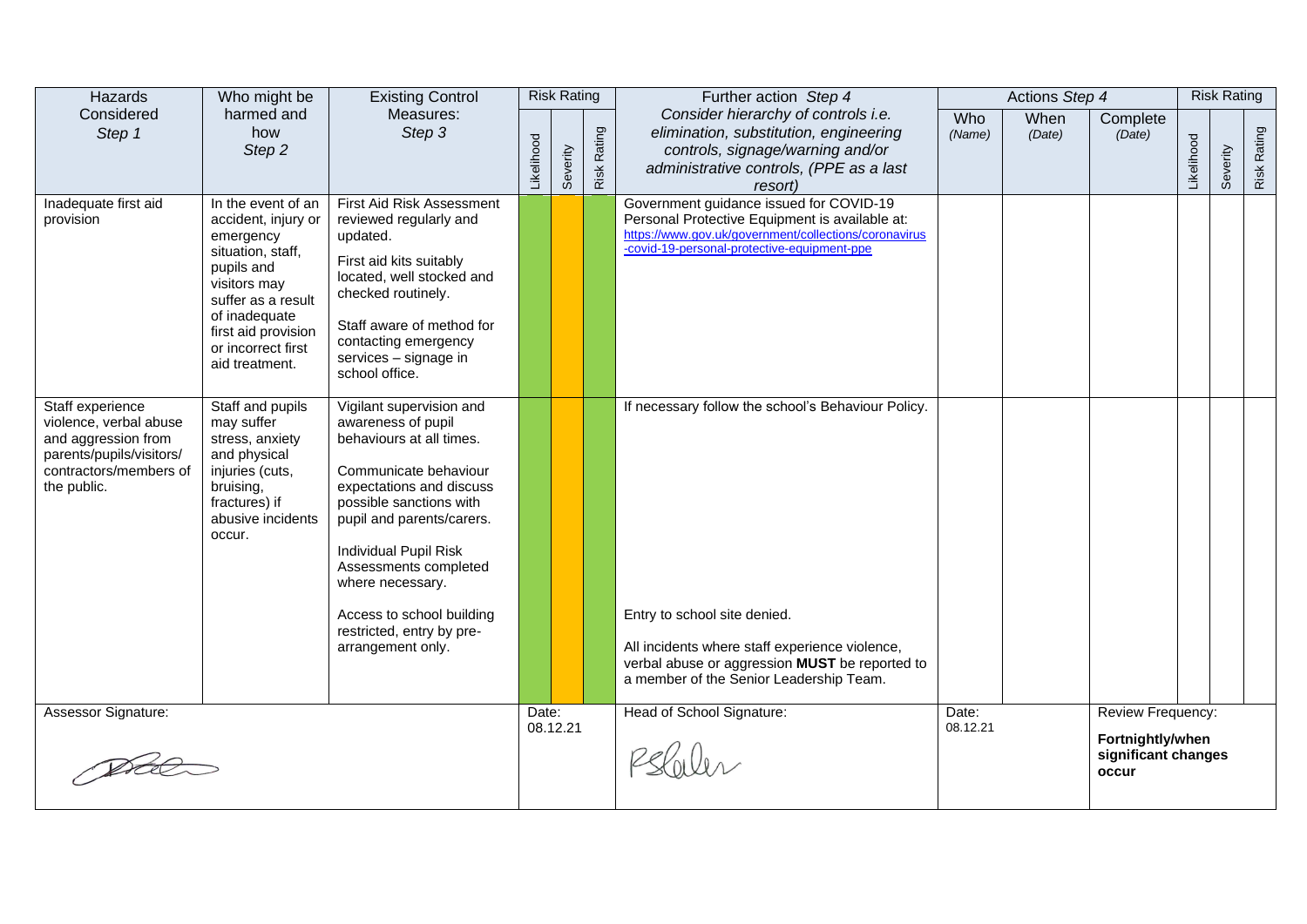| Hazards                                                                                                                                | Who might be                                                                                                                                                                                                    | <b>Existing Control</b>                                                                                                                                                                                                                                                                                                                      |            | <b>Risk Rating</b> |                    | Further action Step 4                                                                                                                                                                                                             |                   | Actions Step 4 |                                                                       |            | <b>Risk Rating</b> |                    |
|----------------------------------------------------------------------------------------------------------------------------------------|-----------------------------------------------------------------------------------------------------------------------------------------------------------------------------------------------------------------|----------------------------------------------------------------------------------------------------------------------------------------------------------------------------------------------------------------------------------------------------------------------------------------------------------------------------------------------|------------|--------------------|--------------------|-----------------------------------------------------------------------------------------------------------------------------------------------------------------------------------------------------------------------------------|-------------------|----------------|-----------------------------------------------------------------------|------------|--------------------|--------------------|
| Considered<br>Step 1                                                                                                                   | harmed and<br>how<br>Step 2                                                                                                                                                                                     | Measures:<br>Step 3                                                                                                                                                                                                                                                                                                                          | Likelihood | Severity           | <b>Risk Rating</b> | Consider hierarchy of controls i.e.<br>elimination, substitution, engineering<br>controls, signage/warning and/or<br>administrative controls, (PPE as a last<br>resort)                                                           | Who<br>(Name)     | When<br>(Date) | Complete<br>(Date)                                                    | Likelihood | everity<br>Ō       | <b>Risk Rating</b> |
| Inadequate first aid<br>provision                                                                                                      | In the event of an<br>accident, injury or<br>emergency<br>situation, staff,<br>pupils and<br>visitors may<br>suffer as a result<br>of inadequate<br>first aid provision<br>or incorrect first<br>aid treatment. | First Aid Risk Assessment<br>reviewed regularly and<br>updated.<br>First aid kits suitably<br>located, well stocked and<br>checked routinely.<br>Staff aware of method for<br>contacting emergency<br>services - signage in<br>school office.                                                                                                |            |                    |                    | Government guidance issued for COVID-19<br>Personal Protective Equipment is available at:<br>https://www.gov.uk/government/collections/coronavirus<br>-covid-19-personal-protective-equipment-ppe                                 |                   |                |                                                                       |            |                    |                    |
| Staff experience<br>violence, verbal abuse<br>and aggression from<br>parents/pupils/visitors/<br>contractors/members of<br>the public. | Staff and pupils<br>may suffer<br>stress, anxiety<br>and physical<br>injuries (cuts,<br>bruising,<br>fractures) if<br>abusive incidents<br>occur.                                                               | Vigilant supervision and<br>awareness of pupil<br>behaviours at all times.<br>Communicate behaviour<br>expectations and discuss<br>possible sanctions with<br>pupil and parents/carers.<br>Individual Pupil Risk<br>Assessments completed<br>where necessary.<br>Access to school building<br>restricted, entry by pre-<br>arrangement only. |            |                    |                    | If necessary follow the school's Behaviour Policy.<br>Entry to school site denied.<br>All incidents where staff experience violence,<br>verbal abuse or aggression MUST be reported to<br>a member of the Senior Leadership Team. |                   |                |                                                                       |            |                    |                    |
| Assessor Signature:                                                                                                                    |                                                                                                                                                                                                                 |                                                                                                                                                                                                                                                                                                                                              | Date:      | 08.12.21           |                    | Head of School Signature:                                                                                                                                                                                                         | Date:<br>08.12.21 |                | Review Frequency:<br>Fortnightly/when<br>significant changes<br>occur |            |                    |                    |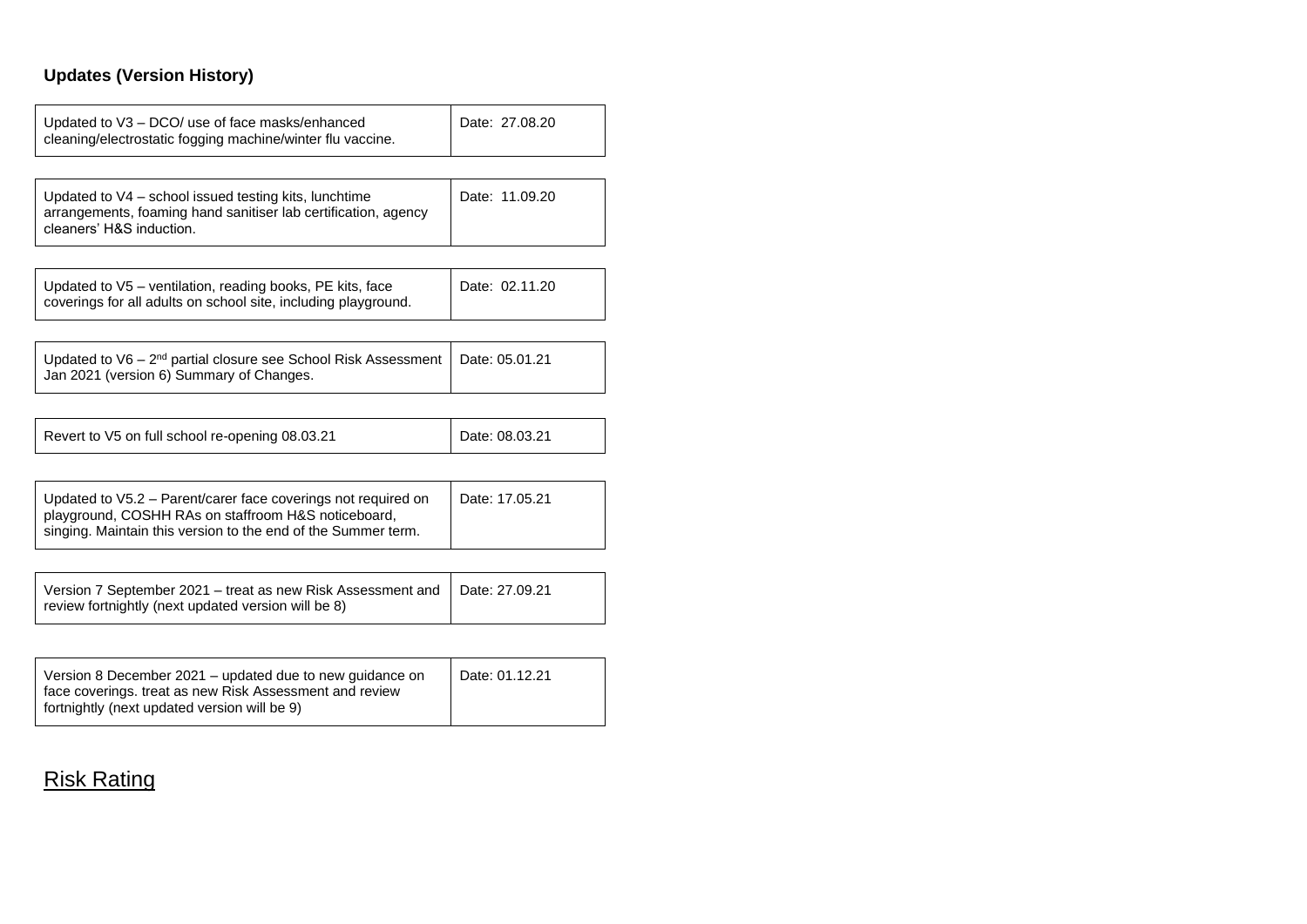## **Updates (Version History)**

| Updated to V3 – DCO/ use of face masks/enhanced<br>cleaning/electrostatic fogging machine/winter flu vaccine.                                                                         | Date: 27.08.20 |
|---------------------------------------------------------------------------------------------------------------------------------------------------------------------------------------|----------------|
|                                                                                                                                                                                       |                |
| Updated to V4 - school issued testing kits, lunchtime<br>arrangements, foaming hand sanitiser lab certification, agency<br>cleaners' H&S induction.                                   | Date: 11.09.20 |
|                                                                                                                                                                                       |                |
| Updated to V5 – ventilation, reading books, PE kits, face<br>coverings for all adults on school site, including playground.                                                           | Date: 02.11.20 |
|                                                                                                                                                                                       |                |
| Updated to $V6 - 2nd$ partial closure see School Risk Assessment<br>Jan 2021 (version 6) Summary of Changes.                                                                          | Date: 05.01.21 |
|                                                                                                                                                                                       |                |
| Revert to V5 on full school re-opening 08.03.21                                                                                                                                       | Date: 08.03.21 |
|                                                                                                                                                                                       |                |
| Updated to V5.2 – Parent/carer face coverings not required on<br>playground, COSHH RAs on staffroom H&S noticeboard,<br>singing. Maintain this version to the end of the Summer term. | Date: 17.05.21 |
|                                                                                                                                                                                       |                |
| Version 7 September 2021 – treat as new Risk Assessment and<br>review fortnightly (next updated version will be 8)                                                                    | Date: 27.09.21 |
|                                                                                                                                                                                       |                |
|                                                                                                                                                                                       |                |

| Version 8 December 2021 – updated due to new quidance on<br>face coverings, treat as new Risk Assessment and review | Date: 01.12.21 |
|---------------------------------------------------------------------------------------------------------------------|----------------|
| fortnightly (next updated version will be 9)                                                                        |                |

## **Risk Rating**